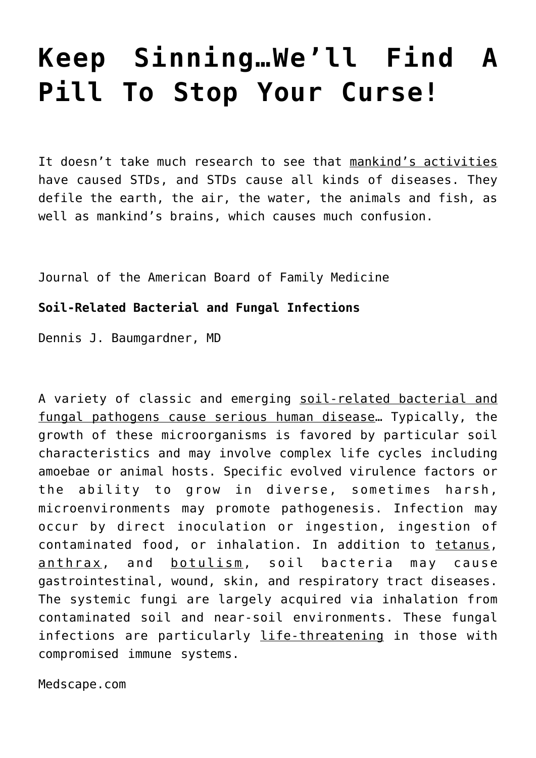# **[Keep Sinning…We'll Find A](https://yahwehsbranch.com/keep-sinningwell-find-a-pill-to-stop-your-curse/) [Pill To Stop Your Curse!](https://yahwehsbranch.com/keep-sinningwell-find-a-pill-to-stop-your-curse/)**

It doesn't take much research to see that mankind's activities have caused STDs, and STDs cause all kinds of diseases. They defile the earth, the air, the water, the animals and fish, as well as mankind's brains, which causes much confusion.

Journal of the American Board of Family Medicine

# **Soil-Related Bacterial and Fungal Infections**

Dennis J. Baumgardner, MD

A variety of classic and emerging soil-related bacterial and fungal pathogens cause serious human disease… Typically, the growth of these microorganisms is favored by particular soil characteristics and may involve complex life cycles including amoebae or animal hosts. Specific evolved virulence factors or the ability to grow in diverse, sometimes harsh, microenvironments may promote pathogenesis. Infection may occur by direct inoculation or ingestion, ingestion of contaminated food, or inhalation. In addition to tetanus, anthrax, and botulism, soil bacteria may cause gastrointestinal, wound, skin, and respiratory tract diseases. The systemic fungi are largely acquired via inhalation from contaminated soil and near-soil environments. These fungal infections are particularly life-threatening in those with compromised immune systems.

Medscape.com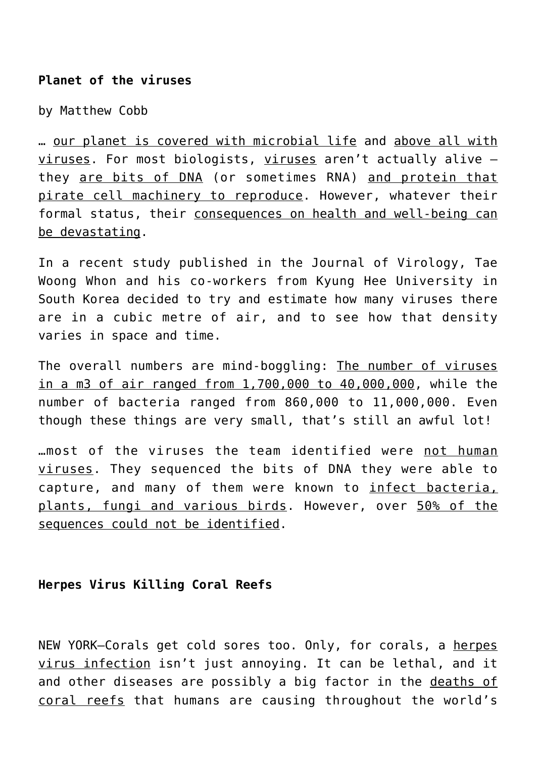# **Planet of the viruses**

by Matthew Cobb

… our planet is covered with microbial life and above all with viruses. For most biologists, viruses aren't actually alive – they are bits of DNA (or sometimes RNA) and protein that pirate cell machinery to reproduce. However, whatever their formal status, their consequences on health and well-being can be devastating.

In a recent study published in the Journal of Virology, Tae Woong Whon and his co-workers from Kyung Hee University in South Korea decided to try and estimate how many viruses there are in a cubic metre of air, and to see how that density varies in space and time.

The overall numbers are mind-boggling: The number of viruses in a m3 of air ranged from 1,700,000 to 40,000,000, while the number of bacteria ranged from 860,000 to 11,000,000. Even though these things are very small, that's still an awful lot!

…most of the viruses the team identified were not human viruses. They sequenced the bits of DNA they were able to capture, and many of them were known to infect bacteria, plants, fungi and various birds. However, over 50% of the sequences could not be identified.

## **Herpes Virus Killing Coral Reefs**

NEW YORK—Corals get cold sores too. Only, for corals, a herpes virus infection isn't just annoying. It can be lethal, and it and other diseases are possibly a big factor in the deaths of coral reefs that humans are causing throughout the world's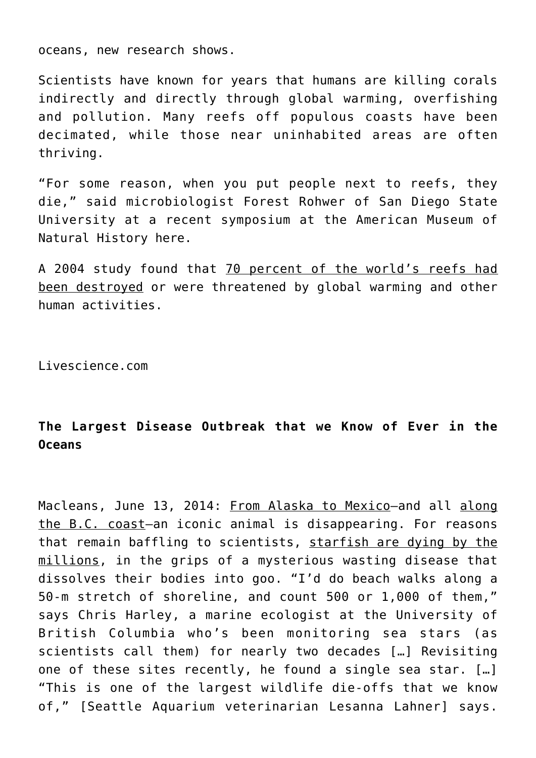oceans, new research shows.

Scientists have known for years that humans are killing corals indirectly and directly through global warming, overfishing and pollution. Many reefs off populous coasts have been decimated, while those near uninhabited areas are often thriving.

"For some reason, when you put people next to reefs, they die," said microbiologist Forest Rohwer of San Diego State University at a recent symposium at the American Museum of Natural History here.

A 2004 study found that 70 percent of the world's reefs had been destroyed or were threatened by global warming and other human activities.

Livescience.com

# **The Largest Disease Outbreak that we Know of Ever in the Oceans**

Macleans, June 13, 2014: From Alaska to Mexico-and all along the B.C. coast-an iconic animal is disappearing. For reasons that remain baffling to scientists, starfish are dying by the millions, in the grips of a mysterious wasting disease that dissolves their bodies into goo. "I'd do beach walks along a 50-m stretch of shoreline, and count 500 or 1,000 of them," says Chris Harley, a marine ecologist at the University of British Columbia who's been monitoring sea stars (as scientists call them) for nearly two decades […] Revisiting one of these sites recently, he found a single sea star. […] "This is one of the largest wildlife die-offs that we know of," [Seattle Aquarium veterinarian Lesanna Lahner] says.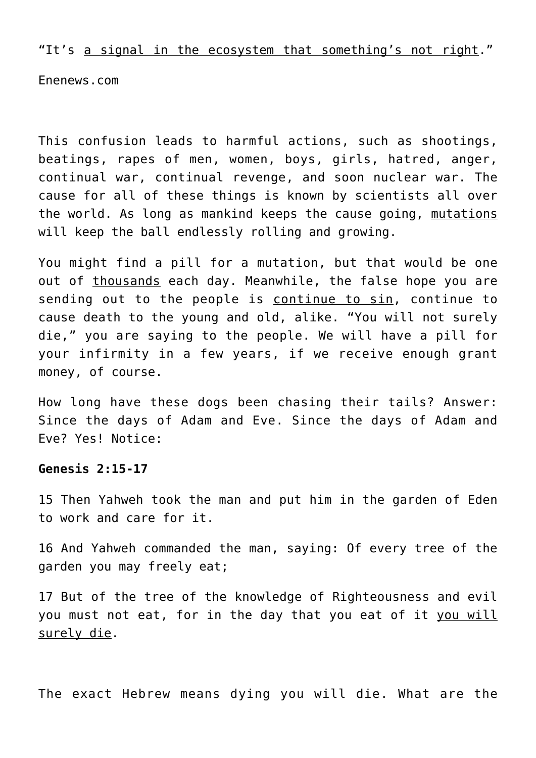"It's a signal in the ecosystem that something's not right."

Enenews.com

This confusion leads to harmful actions, such as shootings, beatings, rapes of men, women, boys, girls, hatred, anger, continual war, continual revenge, and soon nuclear war. The cause for all of these things is known by scientists all over the world. As long as mankind keeps the cause going, mutations will keep the ball endlessly rolling and growing.

You might find a pill for a mutation, but that would be one out of thousands each day. Meanwhile, the false hope you are sending out to the people is continue to sin, continue to cause death to the young and old, alike. "You will not surely die," you are saying to the people. We will have a pill for your infirmity in a few years, if we receive enough grant money, of course.

How long have these dogs been chasing their tails? Answer: Since the days of Adam and Eve. Since the days of Adam and Eve? Yes! Notice:

#### **Genesis 2:15-17**

15 Then Yahweh took the man and put him in the garden of Eden to work and care for it.

16 And Yahweh commanded the man, saying: Of every tree of the garden you may freely eat;

17 But of the tree of the knowledge of Righteousness and evil you must not eat, for in the day that you eat of it you will surely die.

The exact Hebrew means dying you will die. What are the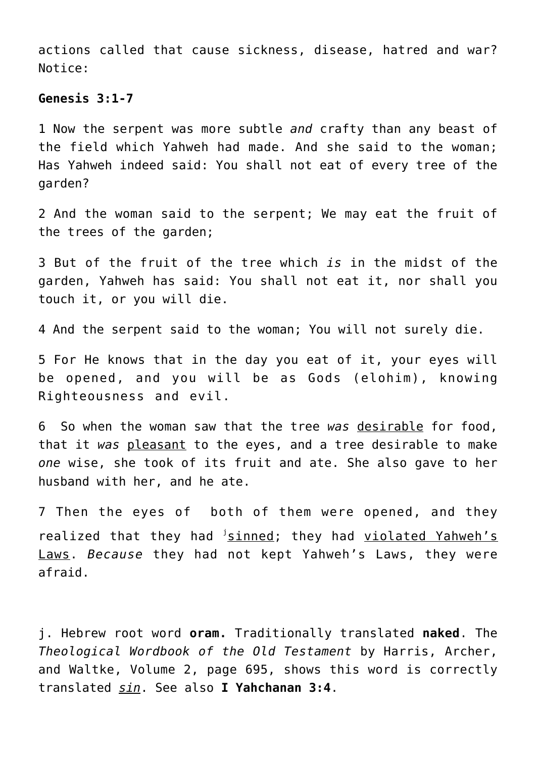actions called that cause sickness, disease, hatred and war? Notice:

### **Genesis 3:1-7**

1 Now the serpent was more subtle *and* crafty than any beast of the field which Yahweh had made. And she said to the woman; Has Yahweh indeed said: You shall not eat of every tree of the garden?

2 And the woman said to the serpent; We may eat the fruit of the trees of the garden;

3 But of the fruit of the tree which *is* in the midst of the garden, Yahweh has said: You shall not eat it, nor shall you touch it, or you will die.

4 And the serpent said to the woman; You will not surely die.

5 For He knows that in the day you eat of it, your eyes will be opened, and you will be as Gods (elohim), knowing Righteousness and evil.

6 So when the woman saw that the tree *was* desirable for food, that it *was* pleasant to the eyes, and a tree desirable to make *one* wise, she took of its fruit and ate. She also gave to her husband with her, and he ate.

7 Then the eyes of both of them were opened, and they realized that they had *isinned*; they had violated Yahweh's Laws. *Because* they had not kept Yahweh's Laws, they were afraid.

j. Hebrew root word **oram.** Traditionally translated **naked**. The *Theological Wordbook of the Old Testament* by Harris, Archer, and Waltke, Volume 2, page 695, shows this word is correctly translated *sin*. See also **I Yahchanan 3:4**.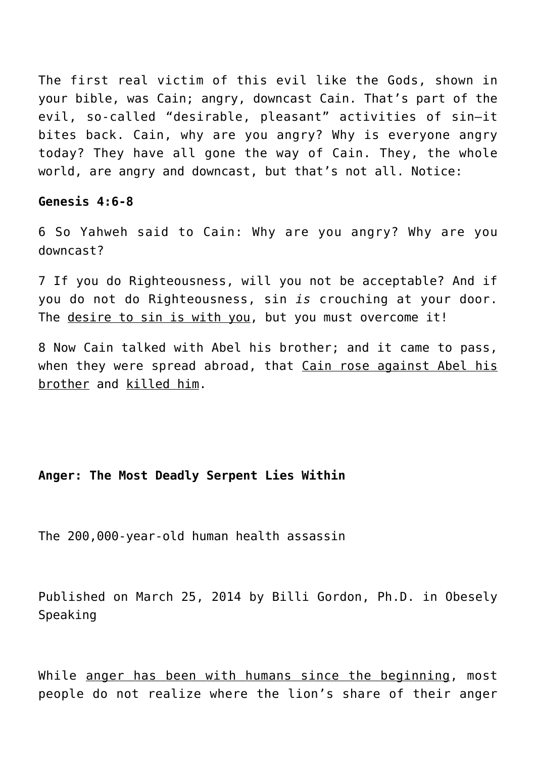The first real victim of this evil like the Gods, shown in your bible, was Cain; angry, downcast Cain. That's part of the evil, so-called "desirable, pleasant" activities of sin—it bites back. Cain, why are you angry? Why is everyone angry today? They have all gone the way of Cain. They, the whole

world, are angry and downcast, but that's not all. Notice:

## **Genesis 4:6-8**

6 So Yahweh said to Cain: Why are you angry? Why are you downcast?

7 If you do Righteousness, will you not be acceptable? And if you do not do Righteousness, sin *is* crouching at your door. The desire to sin is with you, but you must overcome it!

8 Now Cain talked with Abel his brother; and it came to pass, when they were spread abroad, that Cain rose against Abel his brother and killed him.

## **Anger: The Most Deadly Serpent Lies Within**

The 200,000-year-old human health assassin

Published on March 25, 2014 by Billi Gordon, Ph.D. in Obesely Speaking

While anger has been with humans since the beginning, most people do not realize where the lion's share of their anger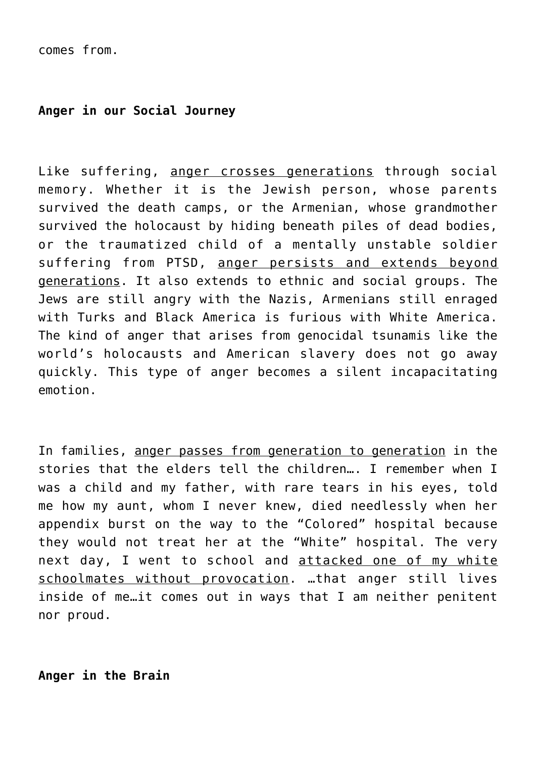comes from.

# **Anger in our Social Journey**

Like suffering, anger crosses generations through social memory. Whether it is the Jewish person, whose parents survived the death camps, or the Armenian, whose grandmother survived the holocaust by hiding beneath piles of dead bodies, or the traumatized child of a mentally unstable soldier suffering from PTSD, anger persists and extends beyond generations. It also extends to ethnic and social groups. The Jews are still angry with the Nazis, Armenians still enraged with Turks and Black America is furious with White America. The kind of anger that arises from genocidal tsunamis like the world's holocausts and American slavery does not go away quickly. This type of anger becomes a silent incapacitating emotion.

In families, anger passes from generation to generation in the stories that the elders tell the children…. I remember when I was a child and my father, with rare tears in his eyes, told me how my aunt, whom I never knew, died needlessly when her appendix burst on the way to the "Colored" hospital because they would not treat her at the "White" hospital. The very next day, I went to school and attacked one of my white schoolmates without provocation. …that anger still lives inside of me…it comes out in ways that I am neither penitent nor proud.

**Anger in the Brain**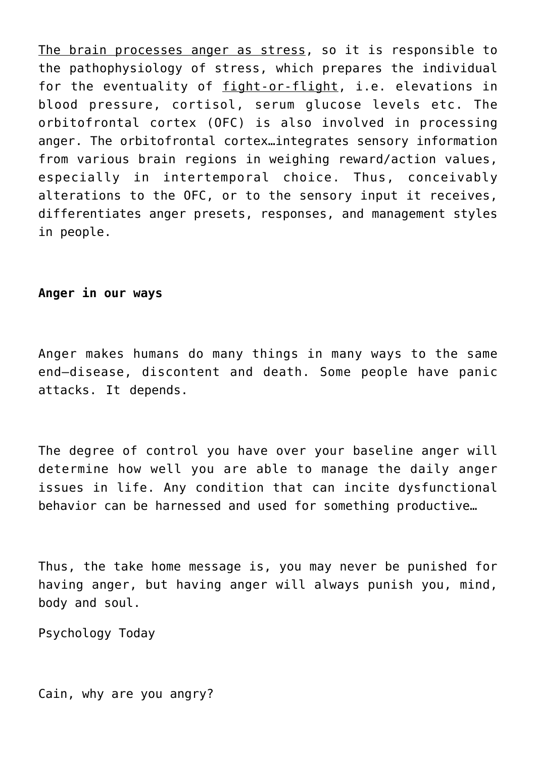The brain processes anger as stress, so it is responsible to the pathophysiology of stress, which prepares the individual for the eventuality of fight-or-flight, i.e. elevations in blood pressure, cortisol, serum glucose levels etc. The orbitofrontal cortex (OFC) is also involved in processing anger. The orbitofrontal cortex…integrates sensory information from various brain regions in weighing reward/action values, especially in intertemporal choice. Thus, conceivably alterations to the OFC, or to the sensory input it receives, differentiates anger presets, responses, and management styles in people.

# **Anger in our ways**

Anger makes humans do many things in many ways to the same end—disease, discontent and death. Some people have panic attacks. It depends.

The degree of control you have over your baseline anger will determine how well you are able to manage the daily anger issues in life. Any condition that can incite dysfunctional behavior can be harnessed and used for something productive…

Thus, the take home message is, you may never be punished for having anger, but having anger will always punish you, mind, body and soul.

Psychology Today

Cain, why are you angry?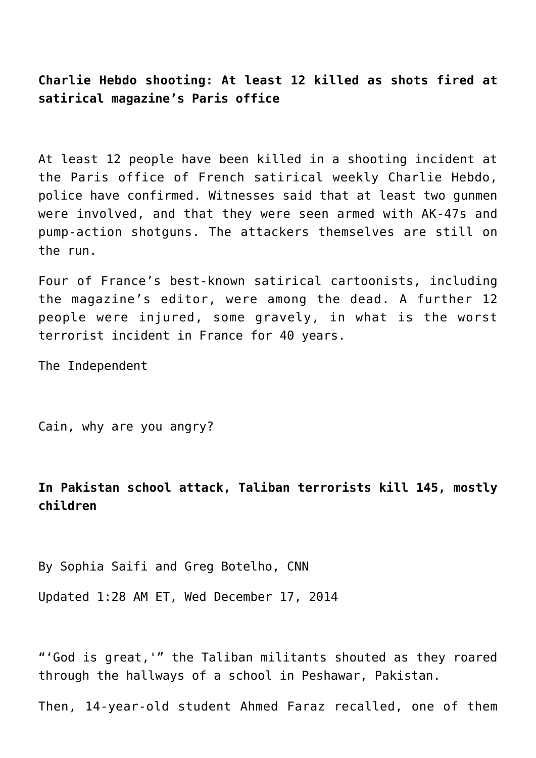**Charlie Hebdo shooting: At least 12 killed as shots fired at satirical magazine's Paris office**

At least 12 people have been killed in a shooting incident at the Paris office of French satirical weekly Charlie Hebdo, police have confirmed. Witnesses said that at least two gunmen were involved, and that they were seen armed with AK-47s and pump-action shotguns. The attackers themselves are still on the run.

Four of France's best-known satirical cartoonists, including the magazine's editor, were among the dead. A further 12 people were injured, some gravely, in what is the worst terrorist incident in France for 40 years.

The Independent

Cain, why are you angry?

**In Pakistan school attack, Taliban terrorists kill 145, mostly children**

By Sophia Saifi and Greg Botelho, CNN

Updated 1:28 AM ET, Wed December 17, 2014

"'God is great,'" the Taliban militants shouted as they roared through the hallways of a school in Peshawar, Pakistan.

Then, 14-year-old student Ahmed Faraz recalled, one of them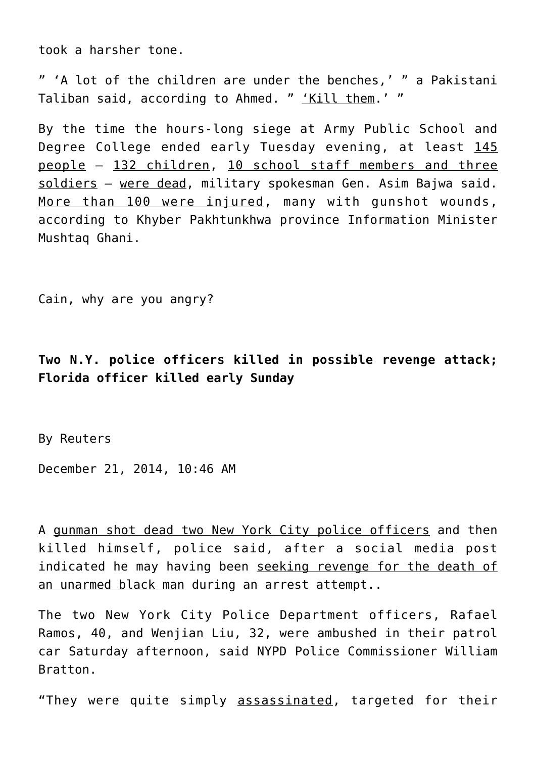took a harsher tone.

" 'A lot of the children are under the benches,' " a Pakistani Taliban said, according to Ahmed. " 'Kill them.' "

By the time the hours-long siege at Army Public School and Degree College ended early Tuesday evening, at least 145 people — 132 children, 10 school staff members and three soldiers — were dead, military spokesman Gen. Asim Bajwa said. More than 100 were injured, many with gunshot wounds, according to Khyber Pakhtunkhwa province Information Minister Mushtaq Ghani.

Cain, why are you angry?

**Two N.Y. police officers killed in possible revenge attack; Florida officer killed early Sunday**

By Reuters

December 21, 2014, 10:46 AM

A gunman shot dead two New York City police officers and then killed himself, police said, after a social media post indicated he may having been seeking revenge for the death of an unarmed black man during an arrest attempt..

The two New York City Police Department officers, Rafael Ramos, 40, and Wenjian Liu, 32, were ambushed in their patrol car Saturday afternoon, said NYPD Police Commissioner William Bratton.

"They were quite simply assassinated, targeted for their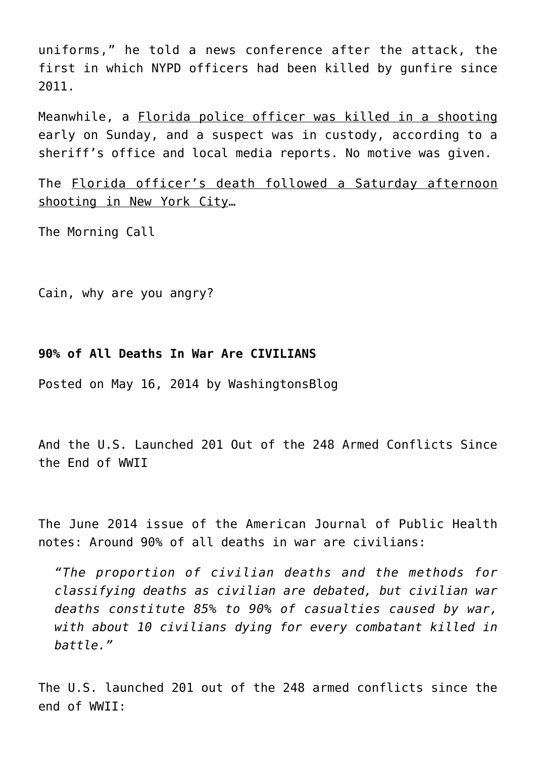uniforms," he told a news conference after the attack, the first in which NYPD officers had been killed by gunfire since 2011.

Meanwhile, a Florida police officer was killed in a shooting early on Sunday, and a suspect was in custody, according to a sheriff's office and local media reports. No motive was given.

The Florida officer's death followed a Saturday afternoon shooting in New York City…

The Morning Call

Cain, why are you angry?

# **90% of All Deaths In War Are CIVILIANS**

Posted on [May 16, 2014](http://www.washingtonsblog.com/2014/05/90-deaths-war-civilians.html) by [WashingtonsBlog](http://www.washingtonsblog.com/author/washingtonsblog)

And the U.S. Launched 201 Out of the 248 Armed Conflicts Since the End of WWII

The June 2014 issue of the American Journal of Public Health notes: Around 90% of all deaths in war are civilians:

*"The proportion of civilian deaths and the methods for classifying deaths as civilian are debated, but civilian war deaths constitute 85% to 90% of casualties caused by war, with about 10 civilians dying for every combatant killed in battle."*

The U.S. launched 201 out of the 248 armed conflicts since the end of WWII: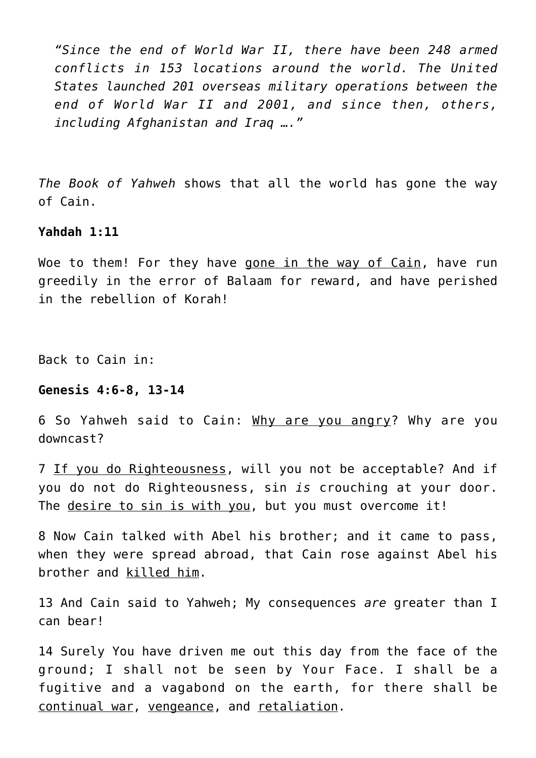*"Since the end of World War II, there have been 248 armed conflicts in 153 locations around the world. The United States launched 201 overseas military operations between the end of World War II and 2001, and since then, others, including Afghanistan and Iraq …."*

*The Book of Yahweh* shows that all the world has gone the way of Cain.

#### **Yahdah 1:11**

Woe to them! For they have gone in the way of Cain, have run greedily in the error of Balaam for reward, and have perished in the rebellion of Korah!

Back to Cain in:

## **Genesis 4:6-8, 13-14**

6 So Yahweh said to Cain: Why are you angry? Why are you downcast?

7 If you do Righteousness, will you not be acceptable? And if you do not do Righteousness, sin *is* crouching at your door. The desire to sin is with you, but you must overcome it!

8 Now Cain talked with Abel his brother; and it came to pass, when they were spread abroad, that Cain rose against Abel his brother and killed him.

13 And Cain said to Yahweh; My consequences *are* greater than I can bear!

14 Surely You have driven me out this day from the face of the ground; I shall not be seen by Your Face. I shall be a fugitive and a vagabond on the earth, for there shall be continual war, vengeance, and retaliation.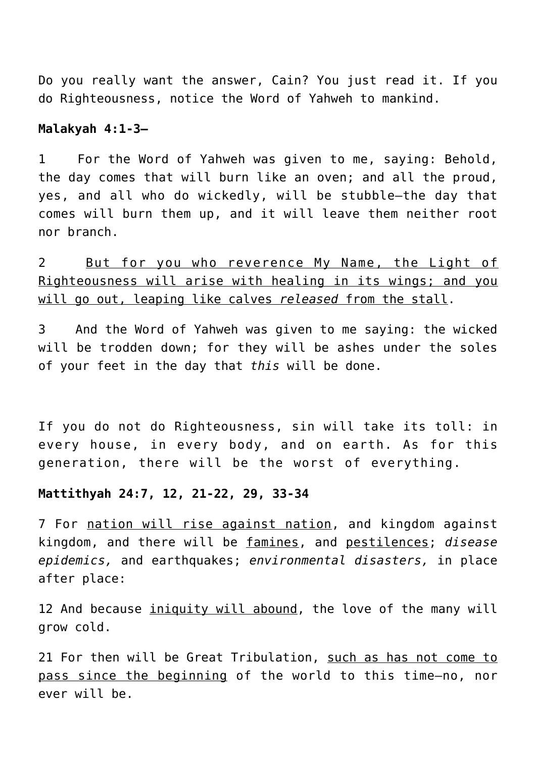Do you really want the answer, Cain? You just read it. If you do Righteousness, notice the Word of Yahweh to mankind.

# **Malakyah 4:1-3—**

1 For the Word of Yahweh was given to me, saying: Behold, the day comes that will burn like an oven; and all the proud, yes, and all who do wickedly, will be stubble—the day that comes will burn them up, and it will leave them neither root nor branch.

2 But for you who reverence My Name, the Light of Righteousness will arise with healing in its wings; and you will go out, leaping like calves *released* from the stall.

3 And the Word of Yahweh was given to me saying: the wicked will be trodden down; for they will be ashes under the soles of your feet in the day that *this* will be done.

If you do not do Righteousness, sin will take its toll: in every house, in every body, and on earth. As for this generation, there will be the worst of everything.

## **Mattithyah 24:7, 12, 21-22, 29, 33-34**

7 For nation will rise against nation, and kingdom against kingdom, and there will be famines, and pestilences; *disease epidemics,* and earthquakes; *environmental disasters,* in place after place:

12 And because iniquity will abound, the love of the many will grow cold.

21 For then will be Great Tribulation, such as has not come to pass since the beginning of the world to this time—no, nor ever will be.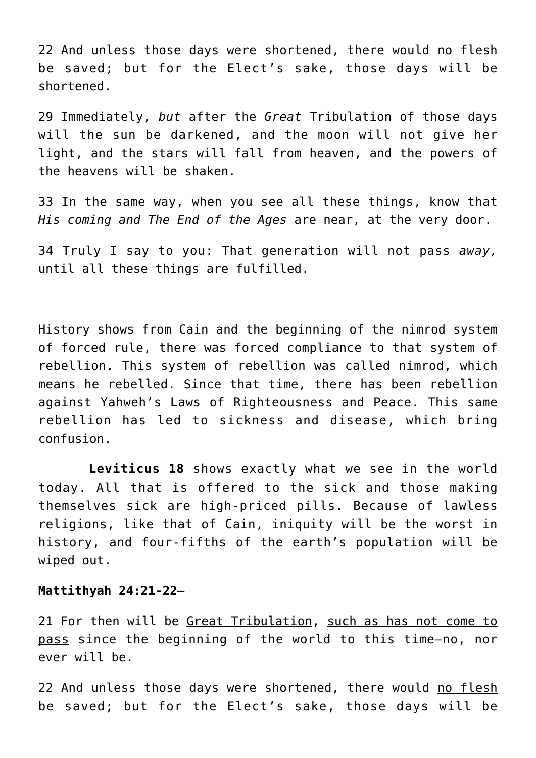22 And unless those days were shortened, there would no flesh be saved; but for the Elect's sake, those days will be shortened.

29 Immediately, *but* after the *Great* Tribulation of those days will the sun be darkened, and the moon will not give her light, and the stars will fall from heaven, and the powers of the heavens will be shaken.

33 In the same way, when you see all these things, know that *His coming and The End of the Ages* are near, at the very door.

34 Truly I say to you: That generation will not pass *away,* until all these things are fulfilled.

History shows from Cain and the beginning of the nimrod system of forced rule, there was forced compliance to that system of rebellion. This system of rebellion was called nimrod, which means he rebelled. Since that time, there has been rebellion against Yahweh's Laws of Righteousness and Peace. This same rebellion has led to sickness and disease, which bring confusion.

 **Leviticus 18** shows exactly what we see in the world today. All that is offered to the sick and those making themselves sick are high-priced pills. Because of lawless religions, like that of Cain, iniquity will be the worst in history, and four-fifths of the earth's population will be wiped out.

# **Mattithyah 24:21-22—**

21 For then will be Great Tribulation, such as has not come to pass since the beginning of the world to this time—no, nor ever will be.

22 And unless those days were shortened, there would no flesh be saved; but for the Elect's sake, those days will be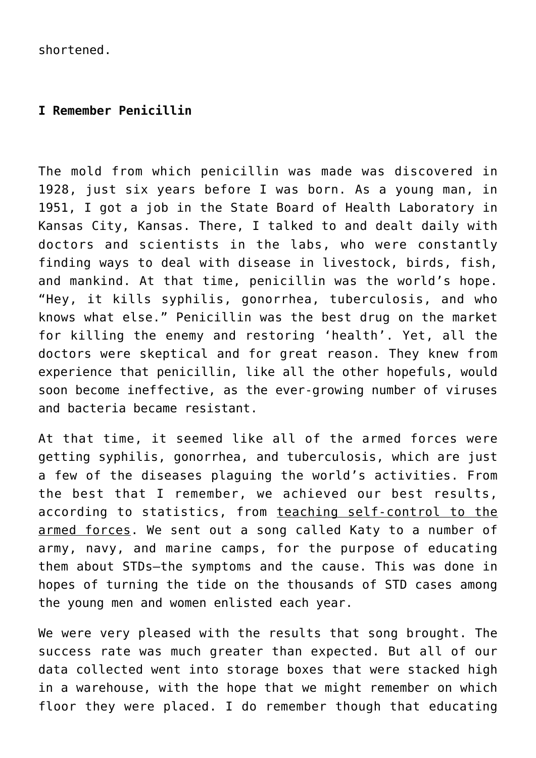shortened.

# **I Remember Penicillin**

The mold from which penicillin was made was discovered in 1928, just six years before I was born. As a young man, in 1951, I got a job in the State Board of Health Laboratory in Kansas City, Kansas. There, I talked to and dealt daily with doctors and scientists in the labs, who were constantly finding ways to deal with disease in livestock, birds, fish, and mankind. At that time, penicillin was the world's hope. "Hey, it kills syphilis, gonorrhea, tuberculosis, and who knows what else." Penicillin was the best drug on the market for killing the enemy and restoring 'health'. Yet, all the doctors were skeptical and for great reason. They knew from experience that penicillin, like all the other hopefuls, would soon become ineffective, as the ever-growing number of viruses and bacteria became resistant.

At that time, it seemed like all of the armed forces were getting syphilis, gonorrhea, and tuberculosis, which are just a few of the diseases plaguing the world's activities. From the best that I remember, we achieved our best results, according to statistics, from teaching self-control to the armed forces. We sent out a song called Katy to a number of army, navy, and marine camps, for the purpose of educating them about STDs—the symptoms and the cause. This was done in hopes of turning the tide on the thousands of STD cases among the young men and women enlisted each year.

We were very pleased with the results that song brought. The success rate was much greater than expected. But all of our data collected went into storage boxes that were stacked high in a warehouse, with the hope that we might remember on which floor they were placed. I do remember though that educating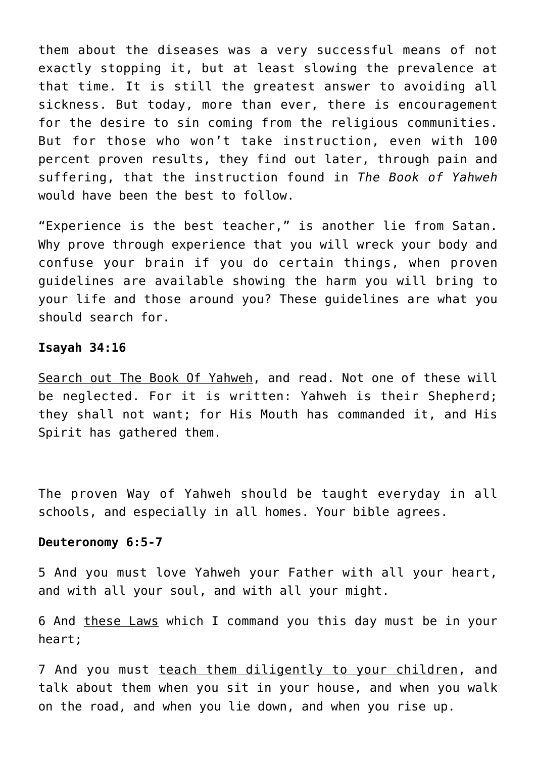them about the diseases was a very successful means of not exactly stopping it, but at least slowing the prevalence at that time. It is still the greatest answer to avoiding all sickness. But today, more than ever, there is encouragement for the desire to sin coming from the religious communities. But for those who won't take instruction, even with 100 percent proven results, they find out later, through pain and suffering, that the instruction found in *The Book of Yahweh* would have been the best to follow.

"Experience is the best teacher," is another lie from Satan. Why prove through experience that you will wreck your body and confuse your brain if you do certain things, when proven guidelines are available showing the harm you will bring to your life and those around you? These guidelines are what you should search for.

## **Isayah 34:16**

Search out The Book Of Yahweh, and read. Not one of these will be neglected. For it is written: Yahweh is their Shepherd; they shall not want; for His Mouth has commanded it, and His Spirit has gathered them.

The proven Way of Yahweh should be taught everyday in all schools, and especially in all homes. Your bible agrees.

## **Deuteronomy 6:5-7**

5 And you must love Yahweh your Father with all your heart, and with all your soul, and with all your might.

6 And these Laws which I command you this day must be in your heart;

7 And you must teach them diligently to your children, and talk about them when you sit in your house, and when you walk on the road, and when you lie down, and when you rise up.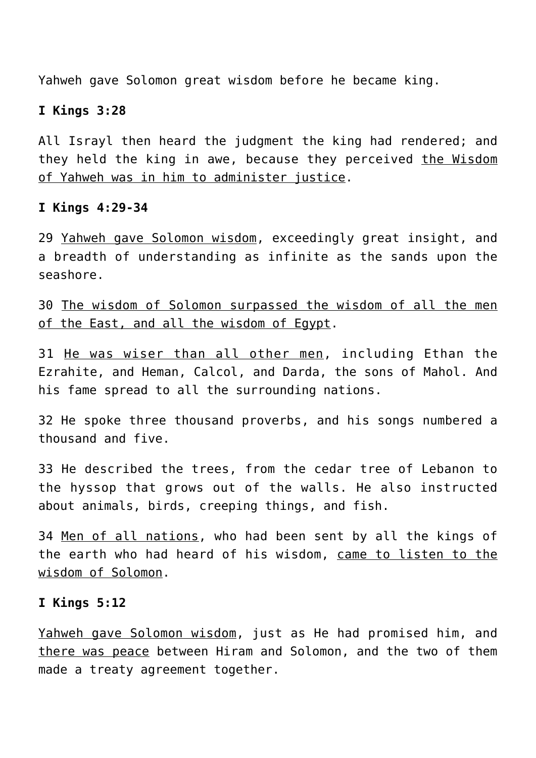Yahweh gave Solomon great wisdom before he became king.

# **I Kings 3:28**

All Israyl then heard the judgment the king had rendered; and they held the king in awe, because they perceived the Wisdom of Yahweh was in him to administer justice.

# **I Kings 4:29-34**

29 Yahweh gave Solomon wisdom, exceedingly great insight, and a breadth of understanding as infinite as the sands upon the seashore.

30 The wisdom of Solomon surpassed the wisdom of all the men of the East, and all the wisdom of Egypt.

31 He was wiser than all other men, including Ethan the Ezrahite, and Heman, Calcol, and Darda, the sons of Mahol. And his fame spread to all the surrounding nations.

32 He spoke three thousand proverbs, and his songs numbered a thousand and five.

33 He described the trees, from the cedar tree of Lebanon to the hyssop that grows out of the walls. He also instructed about animals, birds, creeping things, and fish.

34 Men of all nations, who had been sent by all the kings of the earth who had heard of his wisdom, came to listen to the wisdom of Solomon.

## **I Kings 5:12**

Yahweh gave Solomon wisdom, just as He had promised him, and there was peace between Hiram and Solomon, and the two of them made a treaty agreement together.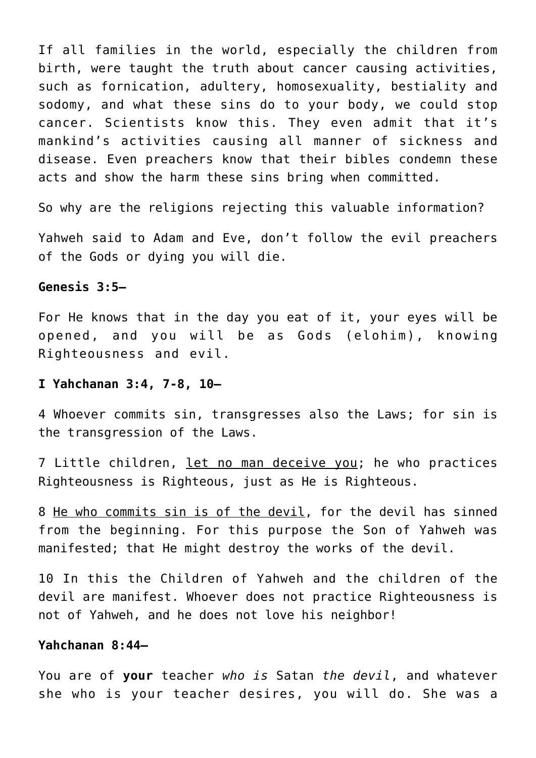If all families in the world, especially the children from birth, were taught the truth about cancer causing activities, such as fornication, adultery, homosexuality, bestiality and sodomy, and what these sins do to your body, we could stop cancer. Scientists know this. They even admit that it's mankind's activities causing all manner of sickness and disease. Even preachers know that their bibles condemn these acts and show the harm these sins bring when committed.

So why are the religions rejecting this valuable information?

Yahweh said to Adam and Eve, don't follow the evil preachers of the Gods or dying you will die.

## **Genesis 3:5—**

For He knows that in the day you eat of it, your eyes will be opened, and you will be as Gods (elohim), knowing Righteousness and evil.

#### **I Yahchanan 3:4, 7-8, 10—**

4 Whoever commits sin, transgresses also the Laws; for sin is the transgression of the Laws.

7 Little children, let no man deceive you; he who practices Righteousness is Righteous, just as He is Righteous.

8 He who commits sin is of the devil, for the devil has sinned from the beginning. For this purpose the Son of Yahweh was manifested; that He might destroy the works of the devil.

10 In this the Children of Yahweh and the children of the devil are manifest. Whoever does not practice Righteousness is not of Yahweh, and he does not love his neighbor!

## **Yahchanan 8:44—**

You are of **your** teacher *who is* Satan *the devil*, and whatever she who is your teacher desires, you will do. She was a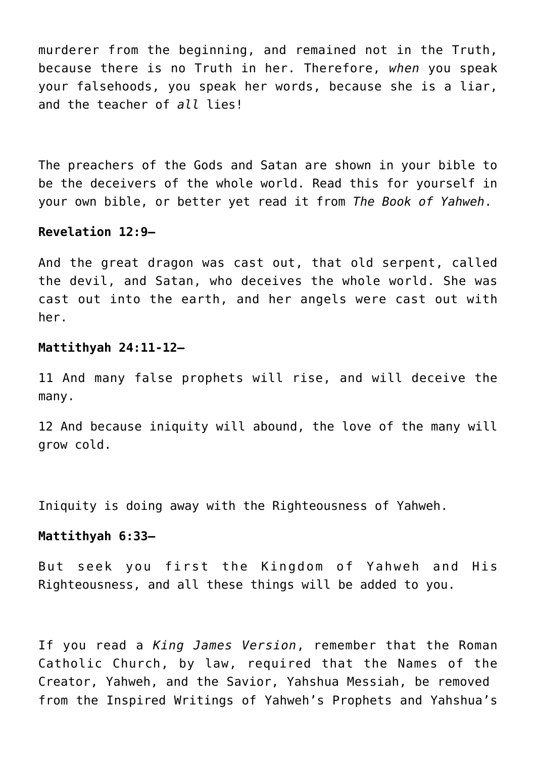murderer from the beginning, and remained not in the Truth, because there is no Truth in her. Therefore, *when* you speak your falsehoods, you speak her words, because she is a liar, and the teacher of *all* lies!

The preachers of the Gods and Satan are shown in your bible to be the deceivers of the whole world. Read this for yourself in your own bible, or better yet read it from *The Book of Yahweh*.

## **Revelation 12:9—**

And the great dragon was cast out, that old serpent, called the devil, and Satan, who deceives the whole world. She was cast out into the earth, and her angels were cast out with her.

## **Mattithyah 24:11-12—**

11 And many false prophets will rise, and will deceive the many.

12 And because iniquity will abound, the love of the many will grow cold.

Iniquity is doing away with the Righteousness of Yahweh.

## **Mattithyah 6:33—**

But seek you first the Kingdom of Yahweh and His Righteousness, and all these things will be added to you.

If you read a *King James Version*, remember that the Roman Catholic Church, by law, required that the Names of the Creator, Yahweh, and the Savior, Yahshua Messiah, be removed from the Inspired Writings of Yahweh's Prophets and Yahshua's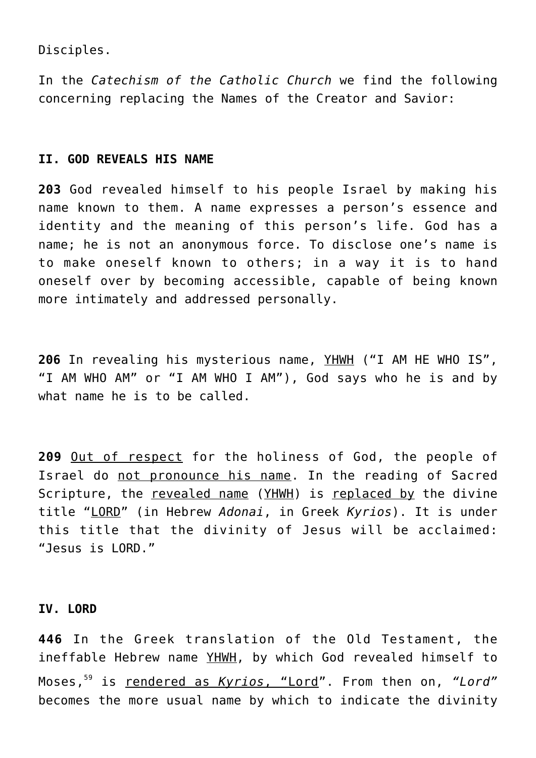Disciples.

In the *Catechism of the Catholic Church* we find the following concerning replacing the Names of the Creator and Savior:

# **II. GOD REVEALS HIS NAME**

**203** God revealed himself to his people Israel by making his name known to them. A name expresses a person's essence and identity and the meaning of this person's life. God has a name; he is not an anonymous force. To disclose one's name is to make oneself known to others; in a way it is to hand oneself over by becoming accessible, capable of being known more intimately and addressed personally.

**206** In revealing his mysterious name, YHWH ("I AM HE WHO IS", "I AM WHO AM" or "I AM WHO I AM"), God says who he is and by what name he is to be called.

**209** Out of respect for the holiness of God, the people of Israel do not pronounce his name. In the reading of Sacred Scripture, the revealed name (YHWH) is replaced by the divine title "LORD" (in Hebrew *Adonai*, in Greek *Kyrios*). It is under this title that the divinity of Jesus will be acclaimed: "Jesus is LORD."

# **IV. LORD**

**446** In the Greek translation of the Old Testament, the ineffable Hebrew name YHWH, by which God revealed himself to Moses,<sup>59</sup> is rendered as *Kyrios*, "Lord". From then on, *"Lord"* becomes the more usual name by which to indicate the divinity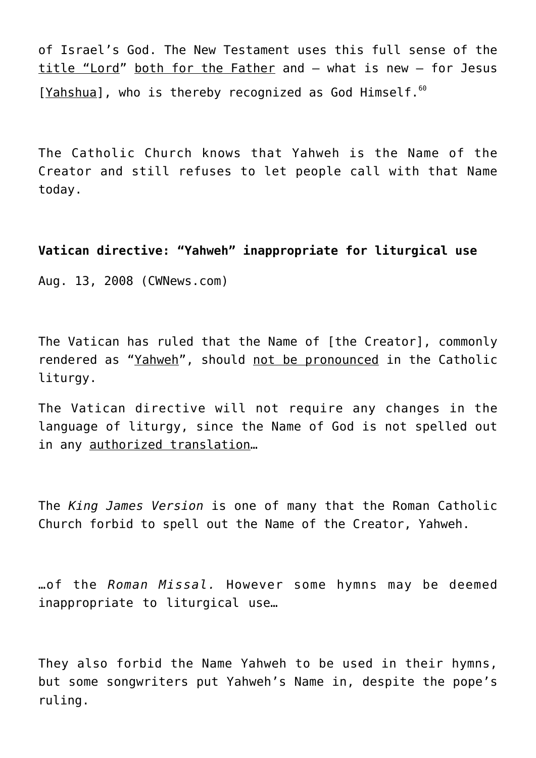of Israel's God. The New Testament uses this full sense of the title "Lord" both for the Father and – what is new – for Jesus [Yahshua], who is thereby recognized as God Himself. $^{60}$ 

The Catholic Church knows that Yahweh is the Name of the Creator and still refuses to let people call with that Name today.

**Vatican directive: "Yahweh" inappropriate for liturgical use**

Aug. 13, 2008 (CWNews.com)

The Vatican has ruled that the Name of [the Creator], commonly rendered as "Yahweh", should not be pronounced in the Catholic liturgy.

The Vatican directive will not require any changes in the language of liturgy, since the Name of God is not spelled out in any authorized translation...

The *King James Version* is one of many that the Roman Catholic Church forbid to spell out the Name of the Creator, Yahweh.

…of the *Roman Missal.* However some hymns may be deemed inappropriate to liturgical use…

They also forbid the Name Yahweh to be used in their hymns, but some songwriters put Yahweh's Name in, despite the pope's ruling.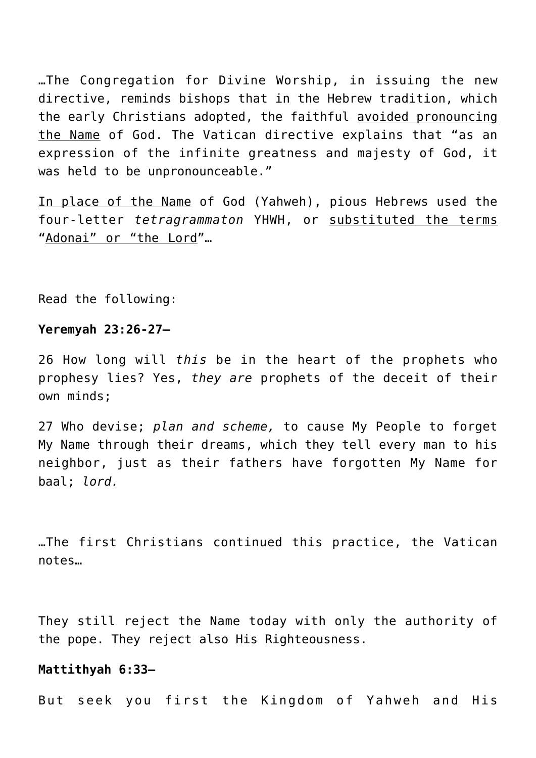…The Congregation for Divine Worship, in issuing the new directive, reminds bishops that in the Hebrew tradition, which the early Christians adopted, the faithful avoided pronouncing the Name of God. The Vatican directive explains that "as an expression of the infinite greatness and majesty of God, it was held to be unpronounceable."

In place of the Name of God (Yahweh), pious Hebrews used the four-letter *tetragrammaton* YHWH, or substituted the terms "Adonai" or "the Lord"...

Read the following:

#### **Yeremyah 23:26-27—**

26 How long will *this* be in the heart of the prophets who prophesy lies? Yes, *they are* prophets of the deceit of their own minds;

27 Who devise; *plan and scheme,* to cause My People to forget My Name through their dreams, which they tell every man to his neighbor, just as their fathers have forgotten My Name for baal; *lord.*

…The first Christians continued this practice, the Vatican notes…

They still reject the Name today with only the authority of the pope. They reject also His Righteousness.

#### **Mattithyah 6:33—**

But seek you first the Kingdom of Yahweh and His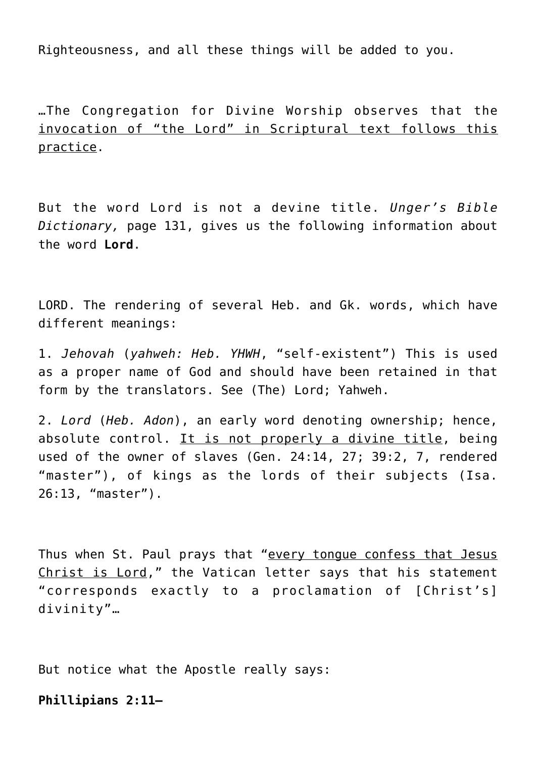Righteousness, and all these things will be added to you.

…The Congregation for Divine Worship observes that the invocation of "the Lord" in Scriptural text follows this practice.

But the word Lord is not a devine title. *Unger's Bible Dictionary,* page 131, gives us the following information about the word **Lord**.

LORD. The rendering of several Heb. and Gk. words, which have different meanings:

1. *Jehovah* (*yahweh: Heb. YHWH*, "self-existent") This is used as a proper name of God and should have been retained in that form by the translators. See (The) Lord; Yahweh.

2. *Lord* (*Heb. Adon*), an early word denoting ownership; hence, absolute control. It is not properly a divine title, being used of the owner of slaves (Gen. 24:14, 27; 39:2, 7, rendered "master"), of kings as the lords of their subjects (Isa. 26:13, "master").

Thus when St. Paul prays that "every tongue confess that Jesus Christ is Lord," the Vatican letter says that his statement "corresponds exactly to a proclamation of [Christ's] divinity"…

But notice what the Apostle really says:

**Phillipians 2:11—**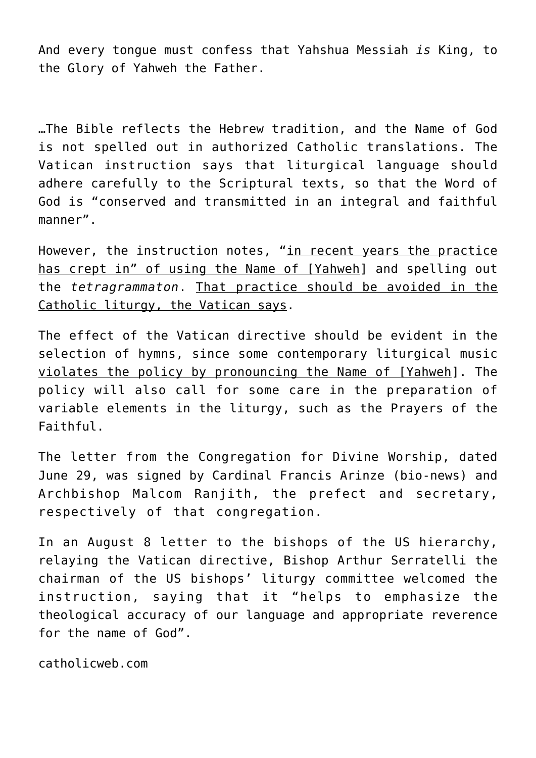And every tongue must confess that Yahshua Messiah *is* King, to the Glory of Yahweh the Father.

…The Bible reflects the Hebrew tradition, and the Name of God is not spelled out in authorized Catholic translations. The Vatican instruction says that liturgical language should adhere carefully to the Scriptural texts, so that the Word of God is "conserved and transmitted in an integral and faithful manner".

However, the instruction notes, "in recent years the practice has crept in" of using the Name of [Yahweh] and spelling out the *tetragrammaton*. That practice should be avoided in the Catholic liturgy, the Vatican says.

The effect of the Vatican directive should be evident in the selection of hymns, since some contemporary liturgical music violates the policy by pronouncing the Name of [Yahweh]. The policy will also call for some care in the preparation of variable elements in the liturgy, such as the Prayers of the Faithful.

The letter from the Congregation for Divine Worship, dated June 29, was signed by Cardinal Francis Arinze (bio-news) and Archbishop Malcom Ranjith, the prefect and secretary, respectively of that congregation.

In an August 8 letter to the bishops of the US hierarchy, relaying the Vatican directive, Bishop Arthur Serratelli the chairman of the US bishops' liturgy committee welcomed the instruction, saying that it "helps to emphasize the theological accuracy of our language and appropriate reverence for the name of God".

catholicweb.com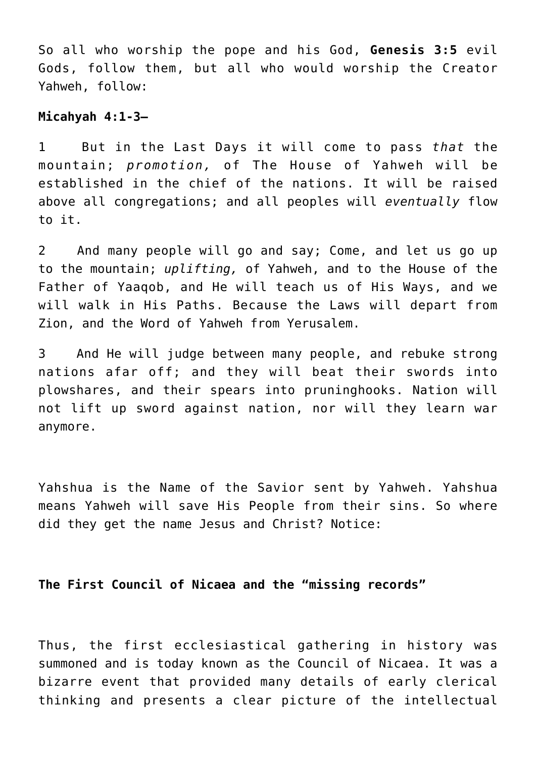So all who worship the pope and his God, **Genesis 3:5** evil Gods, follow them, but all who would worship the Creator Yahweh, follow:

## **Micahyah 4:1-3—**

1 But in the Last Days it will come to pass *that* the mountain; *promotion,* of The House of Yahweh will be established in the chief of the nations. It will be raised above all congregations; and all peoples will *eventually* flow to it.

2 And many people will go and say; Come, and let us go up to the mountain; *uplifting,* of Yahweh, and to the House of the Father of Yaaqob, and He will teach us of His Ways, and we will walk in His Paths. Because the Laws will depart from Zion, and the Word of Yahweh from Yerusalem.

3 And He will judge between many people, and rebuke strong nations afar off; and they will beat their swords into plowshares, and their spears into pruninghooks. Nation will not lift up sword against nation, nor will they learn war anymore.

Yahshua is the Name of the Savior sent by Yahweh. Yahshua means Yahweh will save His People from their sins. So where did they get the name Jesus and Christ? Notice:

# **The First Council of Nicaea and the "missing records"**

Thus, the first ecclesiastical gathering in history was summoned and is today known as the Council of Nicaea. It was a bizarre event that provided many details of early clerical thinking and presents a clear picture of the intellectual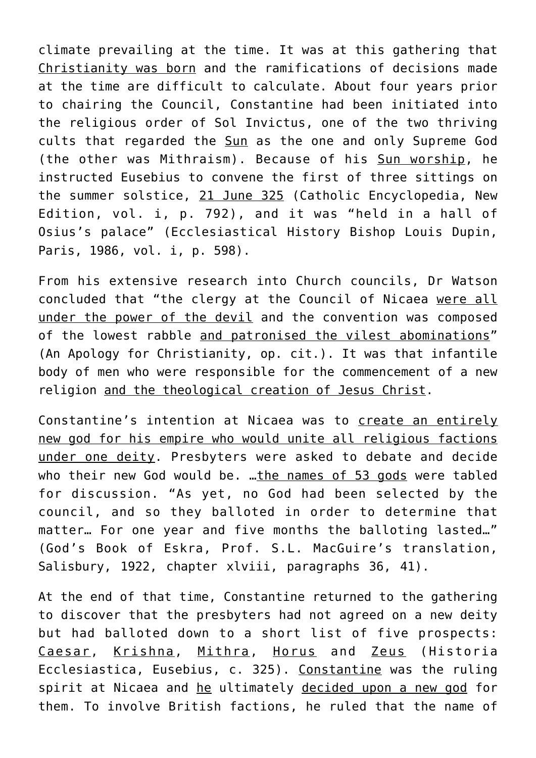climate prevailing at the time. It was at this gathering that Christianity was born and the ramifications of decisions made at the time are difficult to calculate. About four years prior to chairing the Council, Constantine had been initiated into the religious order of Sol Invictus, one of the two thriving cults that regarded the Sun as the one and only Supreme God (the other was Mithraism). Because of his Sun worship, he instructed Eusebius to convene the first of three sittings on the summer solstice, 21 June 325 (Catholic Encyclopedia, New Edition, vol. i, p. 792), and it was "held in a hall of Osius's palace" (Ecclesiastical History Bishop Louis Dupin, Paris, 1986, vol. i, p. 598).

From his extensive research into Church councils, Dr Watson concluded that "the clergy at the Council of Nicaea were all under the power of the devil and the convention was composed of the lowest rabble and patronised the vilest abominations" (An Apology for Christianity, op. cit.). It was that infantile body of men who were responsible for the commencement of a new religion and the theological creation of Jesus Christ.

Constantine's intention at Nicaea was to create an entirely new god for his empire who would unite all religious factions under one deity. Presbyters were asked to debate and decide who their new God would be. ... the names of 53 gods were tabled for discussion. "As yet, no God had been selected by the council, and so they balloted in order to determine that matter… For one year and five months the balloting lasted…" (God's Book of Eskra, Prof. S.L. MacGuire's translation, Salisbury, 1922, chapter xlviii, paragraphs 36, 41).

At the end of that time, Constantine returned to the gathering to discover that the presbyters had not agreed on a new deity but had balloted down to a short list of five prospects: Caesar, Krishna, Mithra, Horus and Zeus (Historia Ecclesiastica, Eusebius, c. 325). Constantine was the ruling spirit at Nicaea and he ultimately decided upon a new god for them. To involve British factions, he ruled that the name of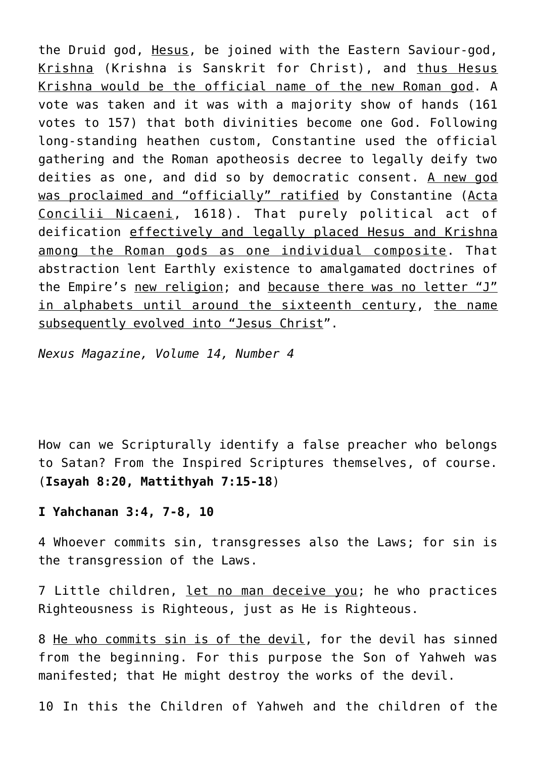the Druid god, Hesus, be joined with the Eastern Saviour-god, Krishna (Krishna is Sanskrit for Christ), and thus Hesus Krishna would be the official name of the new Roman god. A vote was taken and it was with a majority show of hands (161 votes to 157) that both divinities become one God. Following long-standing heathen custom, Constantine used the official gathering and the Roman apotheosis decree to legally deify two deities as one, and did so by democratic consent. A new god was proclaimed and "officially" ratified by Constantine (Acta Concilii Nicaeni, 1618). That purely political act of deification effectively and legally placed Hesus and Krishna among the Roman gods as one individual composite. That abstraction lent Earthly existence to amalgamated doctrines of the Empire's new religion; and because there was no letter "J" in alphabets until around the sixteenth century, the name subsequently evolved into "Jesus Christ".

*Nexus Magazine, Volume 14, Number 4*

How can we Scripturally identify a false preacher who belongs to Satan? From the Inspired Scriptures themselves, of course. (**Isayah 8:20, Mattithyah 7:15-18**)

**I Yahchanan 3:4, 7-8, 10**

4 Whoever commits sin, transgresses also the Laws; for sin is the transgression of the Laws.

7 Little children, let no man deceive you; he who practices Righteousness is Righteous, just as He is Righteous.

8 He who commits sin is of the devil, for the devil has sinned from the beginning. For this purpose the Son of Yahweh was manifested; that He might destroy the works of the devil.

10 In this the Children of Yahweh and the children of the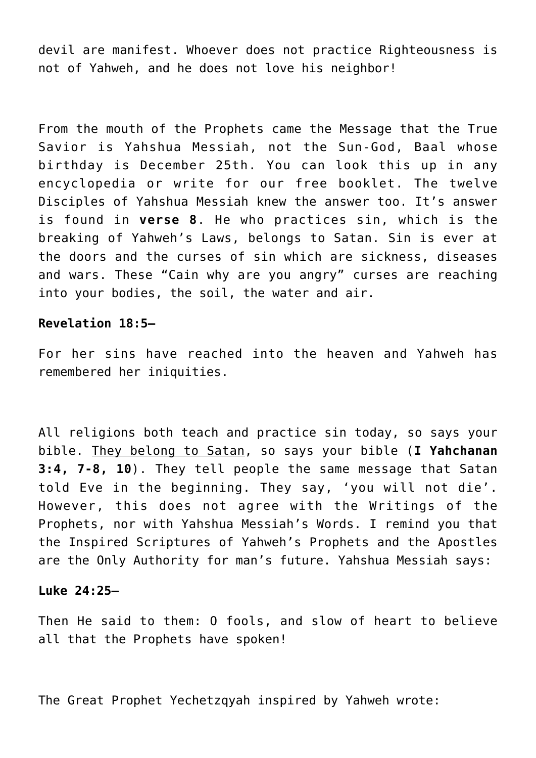devil are manifest. Whoever does not practice Righteousness is not of Yahweh, and he does not love his neighbor!

From the mouth of the Prophets came the Message that the True Savior is Yahshua Messiah, not the Sun-God, Baal whose birthday is December 25th. You can look this up in any encyclopedia or write for our free booklet. The twelve Disciples of Yahshua Messiah knew the answer too. It's answer is found in **verse 8**. He who practices sin, which is the breaking of Yahweh's Laws, belongs to Satan. Sin is ever at the doors and the curses of sin which are sickness, diseases and wars. These "Cain why are you angry" curses are reaching into your bodies, the soil, the water and air.

# **Revelation 18:5—**

For her sins have reached into the heaven and Yahweh has remembered her iniquities.

All religions both teach and practice sin today, so says your bible. They belong to Satan, so says your bible (**I Yahchanan 3:4, 7-8, 10**). They tell people the same message that Satan told Eve in the beginning. They say, 'you will not die'. However, this does not agree with the Writings of the Prophets, nor with Yahshua Messiah's Words. I remind you that the Inspired Scriptures of Yahweh's Prophets and the Apostles are the Only Authority for man's future. Yahshua Messiah says:

#### **Luke 24:25—**

Then He said to them: O fools, and slow of heart to believe all that the Prophets have spoken!

The Great Prophet Yechetzqyah inspired by Yahweh wrote: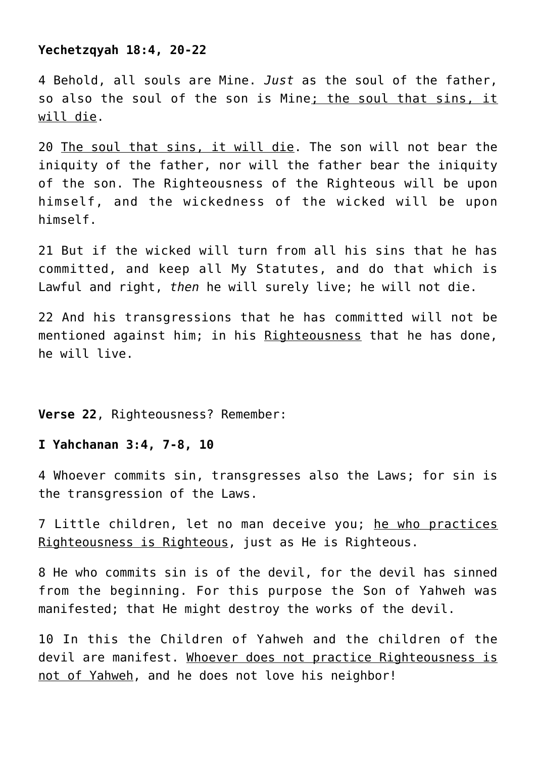## **Yechetzqyah 18:4, 20-22**

4 Behold, all souls are Mine. *Just* as the soul of the father, so also the soul of the son is Mine; the soul that sins, it will die.

20 The soul that sins, it will die. The son will not bear the iniquity of the father, nor will the father bear the iniquity of the son. The Righteousness of the Righteous will be upon himself, and the wickedness of the wicked will be upon himself.

21 But if the wicked will turn from all his sins that he has committed, and keep all My Statutes, and do that which is Lawful and right, *then* he will surely live; he will not die.

22 And his transgressions that he has committed will not be mentioned against him; in his Righteousness that he has done, he will live.

**Verse 22**, Righteousness? Remember:

# **I Yahchanan 3:4, 7-8, 10**

4 Whoever commits sin, transgresses also the Laws; for sin is the transgression of the Laws.

7 Little children, let no man deceive you; he who practices Righteousness is Righteous, just as He is Righteous.

8 He who commits sin is of the devil, for the devil has sinned from the beginning. For this purpose the Son of Yahweh was manifested; that He might destroy the works of the devil.

10 In this the Children of Yahweh and the children of the devil are manifest. Whoever does not practice Righteousness is not of Yahweh, and he does not love his neighbor!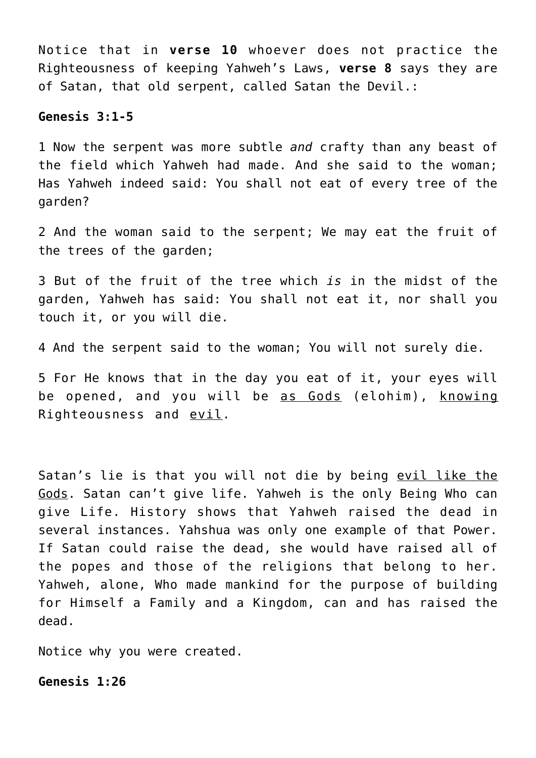Notice that in **verse 10** whoever does not practice the Righteousness of keeping Yahweh's Laws, **verse 8** says they are of Satan, that old serpent, called Satan the Devil.:

## **Genesis 3:1-5**

1 Now the serpent was more subtle *and* crafty than any beast of the field which Yahweh had made. And she said to the woman; Has Yahweh indeed said: You shall not eat of every tree of the garden?

2 And the woman said to the serpent; We may eat the fruit of the trees of the garden;

3 But of the fruit of the tree which *is* in the midst of the garden, Yahweh has said: You shall not eat it, nor shall you touch it, or you will die.

4 And the serpent said to the woman; You will not surely die.

5 For He knows that in the day you eat of it, your eyes will be opened, and you will be as Gods (elohim), knowing Righteousness and evil.

Satan's lie is that you will not die by being evil like the Gods. Satan can't give life. Yahweh is the only Being Who can give Life. History shows that Yahweh raised the dead in several instances. Yahshua was only one example of that Power. If Satan could raise the dead, she would have raised all of the popes and those of the religions that belong to her. Yahweh, alone, Who made mankind for the purpose of building for Himself a Family and a Kingdom, can and has raised the dead.

Notice why you were created.

**Genesis 1:26**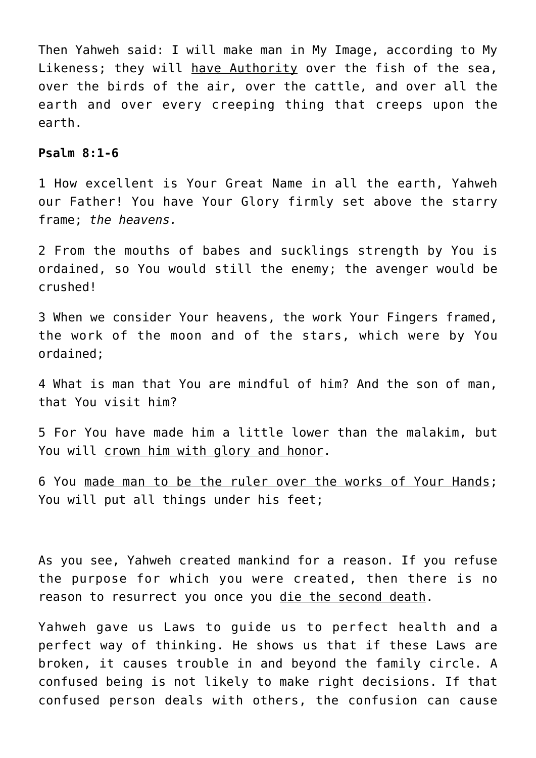Then Yahweh said: I will make man in My Image, according to My Likeness; they will have Authority over the fish of the sea, over the birds of the air, over the cattle, and over all the earth and over every creeping thing that creeps upon the earth.

#### **Psalm 8:1-6**

1 How excellent is Your Great Name in all the earth, Yahweh our Father! You have Your Glory firmly set above the starry frame; *the heavens.*

2 From the mouths of babes and sucklings strength by You is ordained, so You would still the enemy; the avenger would be crushed!

3 When we consider Your heavens, the work Your Fingers framed, the work of the moon and of the stars, which were by You ordained;

4 What is man that You are mindful of him? And the son of man, that You visit him?

5 For You have made him a little lower than the malakim, but You will crown him with glory and honor.

6 You made man to be the ruler over the works of Your Hands; You will put all things under his feet;

As you see, Yahweh created mankind for a reason. If you refuse the purpose for which you were created, then there is no reason to resurrect you once you die the second death.

Yahweh gave us Laws to guide us to perfect health and a perfect way of thinking. He shows us that if these Laws are broken, it causes trouble in and beyond the family circle. A confused being is not likely to make right decisions. If that confused person deals with others, the confusion can cause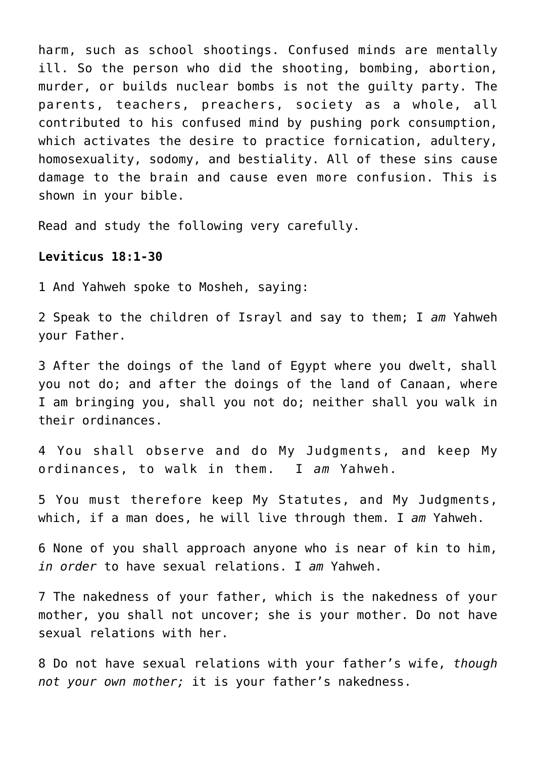harm, such as school shootings. Confused minds are mentally ill. So the person who did the shooting, bombing, abortion, murder, or builds nuclear bombs is not the guilty party. The parents, teachers, preachers, society as a whole, all contributed to his confused mind by pushing pork consumption, which activates the desire to practice fornication, adultery, homosexuality, sodomy, and bestiality. All of these sins cause damage to the brain and cause even more confusion. This is shown in your bible.

Read and study the following very carefully.

# **Leviticus 18:1-30**

1 And Yahweh spoke to Mosheh, saying:

2 Speak to the children of Israyl and say to them; I *am* Yahweh your Father.

3 After the doings of the land of Egypt where you dwelt, shall you not do; and after the doings of the land of Canaan, where I am bringing you, shall you not do; neither shall you walk in their ordinances.

4 You shall observe and do My Judgments, and keep My ordinances, to walk in them. I *am* Yahweh.

5 You must therefore keep My Statutes, and My Judgments, which, if a man does, he will live through them. I *am* Yahweh.

6 None of you shall approach anyone who is near of kin to him, *in order* to have sexual relations. I *am* Yahweh.

7 The nakedness of your father, which is the nakedness of your mother, you shall not uncover; she is your mother. Do not have sexual relations with her.

8 Do not have sexual relations with your father's wife, *though not your own mother;* it is your father's nakedness.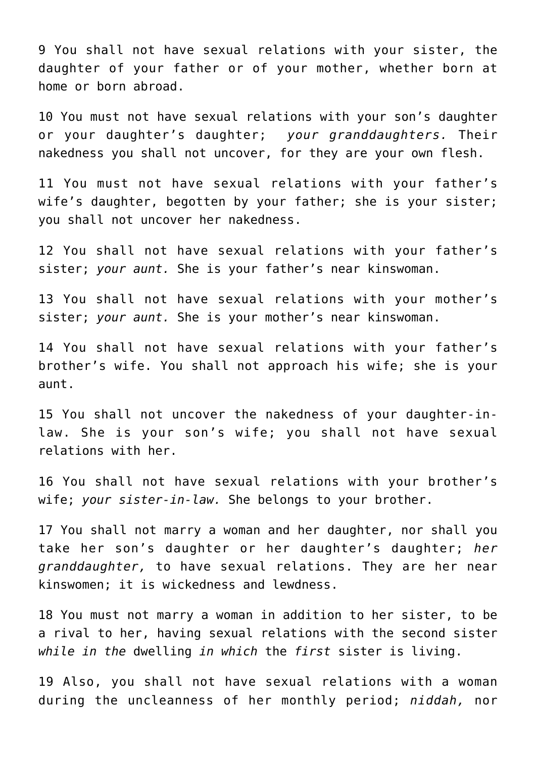9 You shall not have sexual relations with your sister, the daughter of your father or of your mother, whether born at home or born abroad.

10 You must not have sexual relations with your son's daughter or your daughter's daughter; *your granddaughters.* Their nakedness you shall not uncover, for they are your own flesh.

11 You must not have sexual relations with your father's wife's daughter, begotten by your father; she is your sister; you shall not uncover her nakedness.

12 You shall not have sexual relations with your father's sister; *your aunt.* She is your father's near kinswoman.

13 You shall not have sexual relations with your mother's sister; *your aunt.* She is your mother's near kinswoman.

14 You shall not have sexual relations with your father's brother's wife. You shall not approach his wife; she is your aunt.

15 You shall not uncover the nakedness of your daughter-inlaw. She is your son's wife; you shall not have sexual relations with her.

16 You shall not have sexual relations with your brother's wife; *your sister-in-law.* She belongs to your brother.

17 You shall not marry a woman and her daughter, nor shall you take her son's daughter or her daughter's daughter; *her granddaughter,* to have sexual relations. They are her near kinswomen; it is wickedness and lewdness.

18 You must not marry a woman in addition to her sister, to be a rival to her, having sexual relations with the second sister *while in the* dwelling *in which* the *first* sister is living.

19 Also, you shall not have sexual relations with a woman during the uncleanness of her monthly period; *niddah,* nor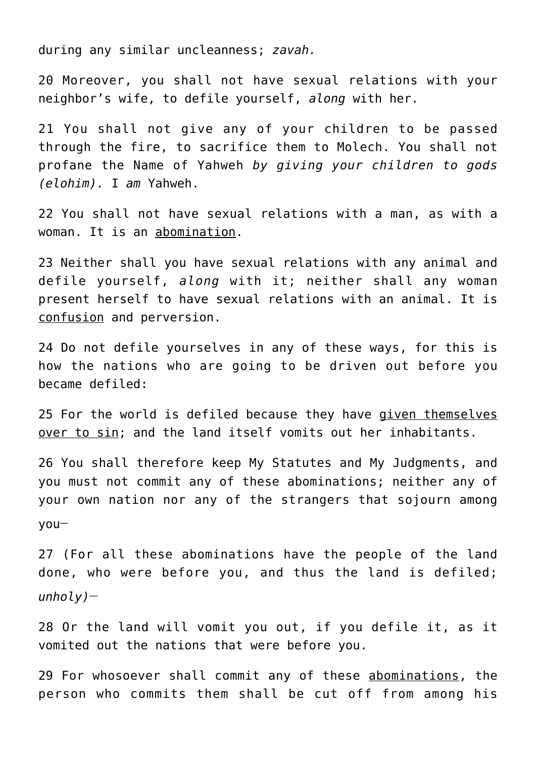during any similar uncleanness; *zavah.*

20 Moreover, you shall not have sexual relations with your neighbor's wife, to defile yourself, *along* with her.

21 You shall not give any of your children to be passed through the fire, to sacrifice them to Molech. You shall not profane the Name of Yahweh *by giving your children to gods (elohim).* I *am* Yahweh.

22 You shall not have sexual relations with a man, as with a woman. It is an abomination.

23 Neither shall you have sexual relations with any animal and defile yourself, *along* with it; neither shall any woman present herself to have sexual relations with an animal. It is confusion and perversion.

24 Do not defile yourselves in any of these ways, for this is how the nations who are going to be driven out before you became defiled:

25 For the world is defiled because they have given themselves over to sin; and the land itself vomits out her inhabitants.

26 You shall therefore keep My Statutes and My Judgments, and you must not commit any of these abominations; neither any of your own nation nor any of the strangers that sojourn among you**\_\_**

27 (For all these abominations have the people of the land done, who were before you, and thus the land is defiled; *unholy)***\_\_**

28 Or the land will vomit you out, if you defile it, as it vomited out the nations that were before you.

29 For whosoever shall commit any of these abominations, the person who commits them shall be cut off from among his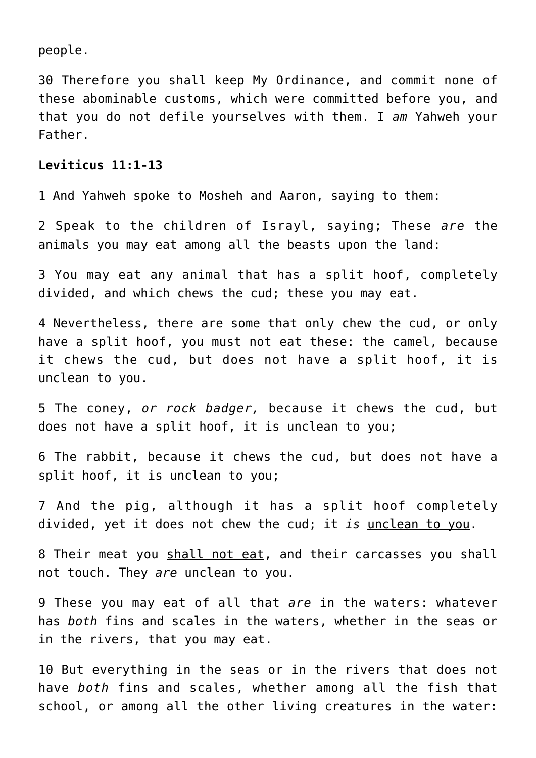people.

30 Therefore you shall keep My Ordinance, and commit none of these abominable customs, which were committed before you, and that you do not defile yourselves with them. I *am* Yahweh your Father.

# **Leviticus 11:1-13**

1 And Yahweh spoke to Mosheh and Aaron, saying to them:

2 Speak to the children of Israyl, saying; These *are* the animals you may eat among all the beasts upon the land:

3 You may eat any animal that has a split hoof, completely divided, and which chews the cud; these you may eat.

4 Nevertheless, there are some that only chew the cud, or only have a split hoof, you must not eat these: the camel, because it chews the cud, but does not have a split hoof, it is unclean to you.

5 The coney, *or rock badger,* because it chews the cud, but does not have a split hoof, it is unclean to you;

6 The rabbit, because it chews the cud, but does not have a split hoof, it is unclean to you;

7 And the pig, although it has a split hoof completely divided, yet it does not chew the cud; it *is* unclean to you.

8 Their meat you shall not eat, and their carcasses you shall not touch. They *are* unclean to you.

9 These you may eat of all that *are* in the waters: whatever has *both* fins and scales in the waters, whether in the seas or in the rivers, that you may eat.

10 But everything in the seas or in the rivers that does not have *both* fins and scales, whether among all the fish that school, or among all the other living creatures in the water: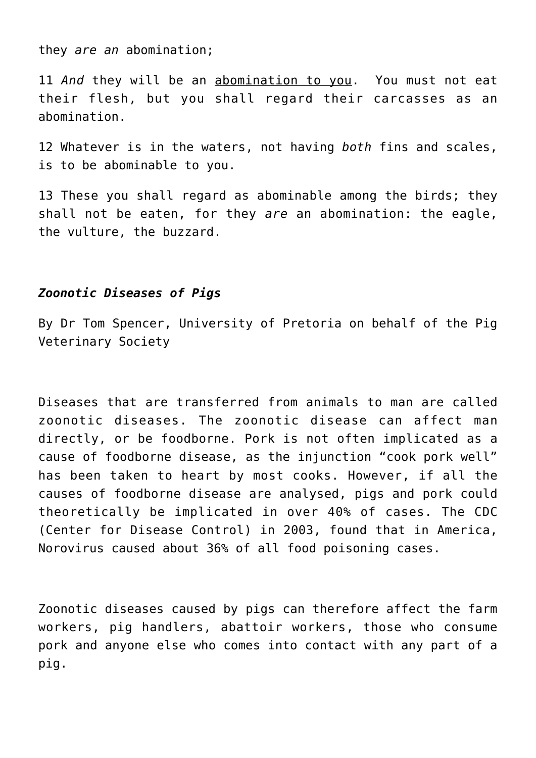they *are an* abomination;

11 *And* they will be an abomination to you. You must not eat their flesh, but you shall regard their carcasses as an abomination.

12 Whatever is in the waters, not having *both* fins and scales, is to be abominable to you.

13 These you shall regard as abominable among the birds; they shall not be eaten, for they *are* an abomination: the eagle, the vulture, the buzzard.

## *Zoonotic Diseases of Pigs*

By Dr Tom Spencer, University of Pretoria on behalf of the Pig Veterinary Society

Diseases that are transferred from animals to man are called zoonotic diseases. The zoonotic disease can affect man directly, or be foodborne. Pork is not often implicated as a cause of foodborne disease, as the injunction "cook pork well" has been taken to heart by most cooks. However, if all the causes of foodborne disease are analysed, pigs and pork could theoretically be implicated in over 40% of cases. The CDC (Center for Disease Control) in 2003, found that in America, Norovirus caused about 36% of all food poisoning cases.

Zoonotic diseases caused by pigs can therefore affect the farm workers, pig handlers, abattoir workers, those who consume pork and anyone else who comes into contact with any part of a pig.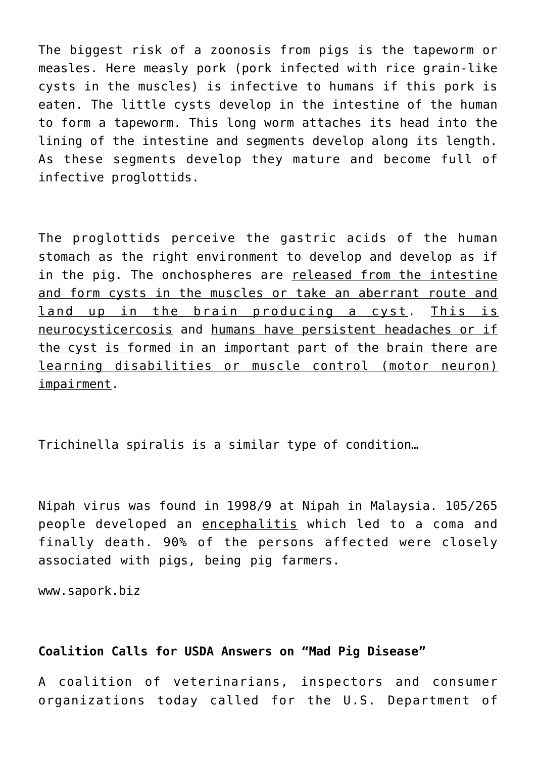The biggest risk of a zoonosis from pigs is the tapeworm or measles. Here measly pork (pork infected with rice grain-like cysts in the muscles) is infective to humans if this pork is eaten. The little cysts develop in the intestine of the human to form a tapeworm. This long worm attaches its head into the lining of the intestine and segments develop along its length. As these segments develop they mature and become full of infective proglottids.

The proglottids perceive the gastric acids of the human stomach as the right environment to develop and develop as if in the pig. The onchospheres are released from the intestine and form cysts in the muscles or take an aberrant route and land up in the brain producing a cyst. This is neurocysticercosis and humans have persistent headaches or if the cyst is formed in an important part of the brain there are learning disabilities or muscle control (motor neuron) impairment.

Trichinella spiralis is a similar type of condition…

Nipah virus was found in 1998/9 at Nipah in Malaysia. 105/265 people developed an encephalitis which led to a coma and finally death. 90% of the persons affected were closely associated with pigs, being pig farmers.

www.sapork.biz

# **Coalition Calls for USDA Answers on "Mad Pig Disease"**

A coalition of veterinarians, inspectors and consumer organizations today called for the U.S. Department of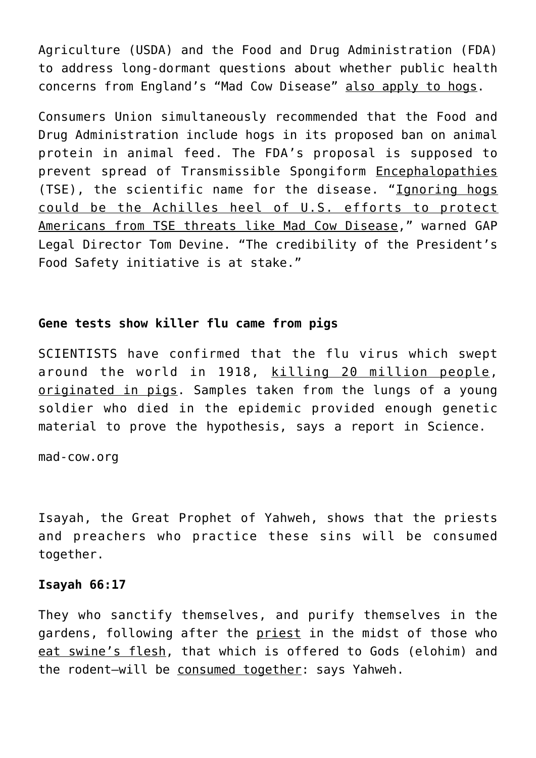Agriculture (USDA) and the Food and Drug Administration (FDA) to address long-dormant questions about whether public health concerns from England's "Mad Cow Disease" also apply to hogs.

Consumers Union simultaneously recommended that the Food and Drug Administration include hogs in its proposed ban on animal protein in animal feed. The FDA's proposal is supposed to prevent spread of Transmissible Spongiform Encephalopathies (TSE), the scientific name for the disease. "Ignoring hogs could be the Achilles heel of U.S. efforts to protect Americans from TSE threats like Mad Cow Disease," warned GAP Legal Director Tom Devine. "The credibility of the President's Food Safety initiative is at stake."

# **Gene tests show killer flu came from pigs**

SCIENTISTS have confirmed that the flu virus which swept around the world in 1918, killing 20 million people, originated in pigs. Samples taken from the lungs of a young soldier who died in the epidemic provided enough genetic material to prove the hypothesis, says a report in Science.

mad-cow.org

Isayah, the Great Prophet of Yahweh, shows that the priests and preachers who practice these sins will be consumed together.

#### **Isayah 66:17**

They who sanctify themselves, and purify themselves in the gardens, following after the priest in the midst of those who eat swine's flesh, that which is offered to Gods (elohim) and the rodent-will be consumed together: says Yahweh.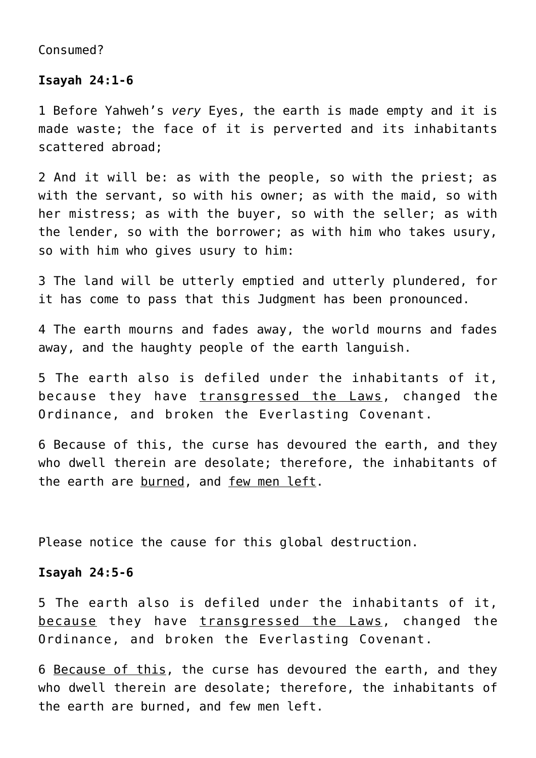Consumed?

#### **Isayah 24:1-6**

1 Before Yahweh's *very* Eyes, the earth is made empty and it is made waste; the face of it is perverted and its inhabitants scattered abroad;

2 And it will be: as with the people, so with the priest; as with the servant, so with his owner; as with the maid, so with her mistress; as with the buyer, so with the seller; as with the lender, so with the borrower; as with him who takes usury, so with him who gives usury to him:

3 The land will be utterly emptied and utterly plundered, for it has come to pass that this Judgment has been pronounced.

4 The earth mourns and fades away, the world mourns and fades away, and the haughty people of the earth languish.

5 The earth also is defiled under the inhabitants of it, because they have transgressed the Laws, changed the Ordinance, and broken the Everlasting Covenant.

6 Because of this, the curse has devoured the earth, and they who dwell therein are desolate; therefore, the inhabitants of the earth are burned, and few men left.

Please notice the cause for this global destruction.

#### **Isayah 24:5-6**

5 The earth also is defiled under the inhabitants of it, because they have transgressed the Laws, changed the Ordinance, and broken the Everlasting Covenant.

6 Because of this, the curse has devoured the earth, and they who dwell therein are desolate; therefore, the inhabitants of the earth are burned, and few men left.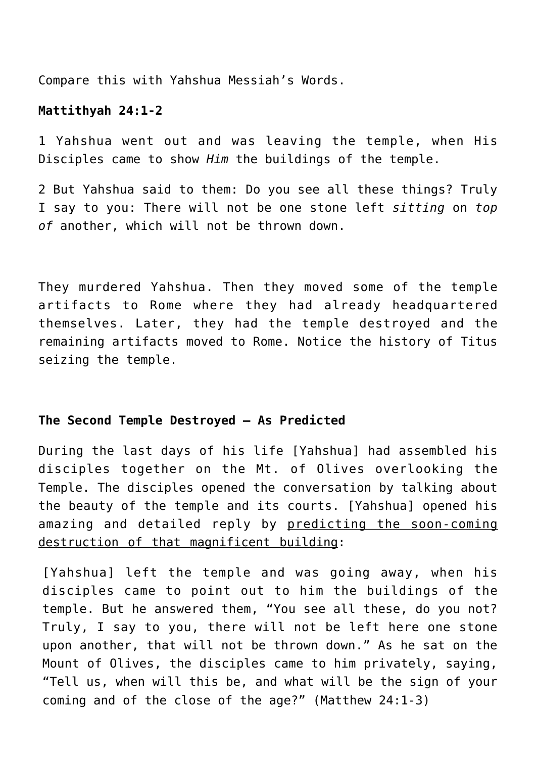Compare this with Yahshua Messiah's Words.

# **Mattithyah 24:1-2**

1 Yahshua went out and was leaving the temple, when His Disciples came to show *Him* the buildings of the temple.

2 But Yahshua said to them: Do you see all these things? Truly I say to you: There will not be one stone left *sitting* on *top of* another, which will not be thrown down.

They murdered Yahshua. Then they moved some of the temple artifacts to Rome where they had already headquartered themselves. Later, they had the temple destroyed and the remaining artifacts moved to Rome. Notice the history of Titus seizing the temple.

## **The Second Temple Destroyed – As Predicted**

During the last days of his life [Yahshua] had assembled his disciples together on the Mt. of Olives overlooking the Temple. The disciples opened the conversation by talking about the beauty of the temple and its courts. [Yahshua] opened his amazing and detailed reply by predicting the soon-coming destruction of that magnificent building:

[Yahshua] left the temple and was going away, when his disciples came to point out to him the buildings of the temple. But he answered them, "You see all these, do you not? Truly, I say to you, there will not be left here one stone upon another, that will not be thrown down." As he sat on the Mount of Olives, the disciples came to him privately, saying, "Tell us, when will this be, and what will be the sign of your coming and of the close of the age?" (Matthew 24:1-3)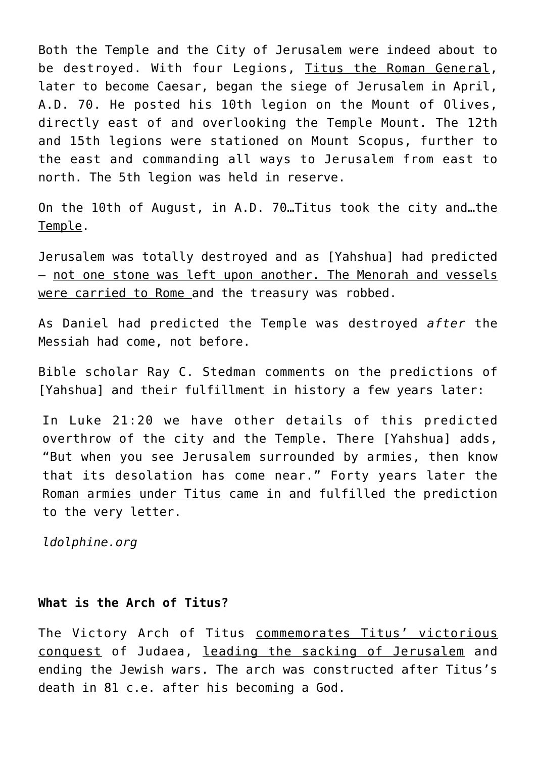Both the Temple and the City of Jerusalem were indeed about to be destroyed. With four Legions, Titus the Roman General, later to become Caesar, began the siege of Jerusalem in April, A.D. 70. He posted his 10th legion on the Mount of Olives, directly east of and overlooking the Temple Mount. The 12th and 15th legions were stationed on Mount Scopus, further to the east and commanding all ways to Jerusalem from east to north. The 5th legion was held in reserve.

On the 10th of August, in A.D. 70…Titus took the city and…the Temple.

Jerusalem was totally destroyed and as [Yahshua] had predicted – not one stone was left upon another. The Menorah and vessels were carried to Rome and the treasury was robbed.

As Daniel had predicted the Temple was destroyed *after* the Messiah had come, not before.

Bible scholar Ray C. Stedman comments on the predictions of [Yahshua] and their fulfillment in history a few years later:

In Luke 21:20 we have other details of this predicted overthrow of the city and the Temple. There [Yahshua] adds, "But when you see Jerusalem surrounded by armies, then know that its desolation has come near." Forty years later the Roman armies under Titus came in and fulfilled the prediction to the very letter.

*ldolphine.org*

## **What is the Arch of Titus?**

The Victory Arch of Titus commemorates Titus' victorious conquest of Judaea, leading the sacking of Jerusalem and ending the Jewish wars. The arch was constructed after Titus's death in 81 c.e. after his becoming a God.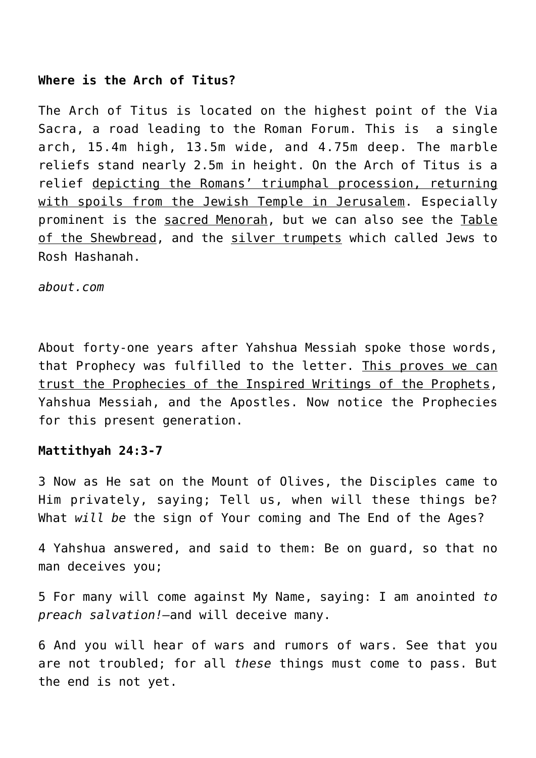# **Where is the Arch of Titus?**

The Arch of Titus is located on the highest point of the Via Sacra, a road leading to the Roman Forum. This is a single arch, 15.4m high, 13.5m wide, and 4.75m deep. The marble reliefs stand nearly 2.5m in height. On the Arch of Titus is a relief depicting the Romans' triumphal procession, returning with spoils from the Jewish Temple in Jerusalem. Especially prominent is the sacred Menorah, but we can also see the Table of the Shewbread, and the silver trumpets which called Jews to Rosh Hashanah.

*about.com*

About forty-one years after Yahshua Messiah spoke those words, that Prophecy was fulfilled to the letter. This proves we can trust the Prophecies of the Inspired Writings of the Prophets, Yahshua Messiah, and the Apostles. Now notice the Prophecies for this present generation.

## **Mattithyah 24:3-7**

3 Now as He sat on the Mount of Olives, the Disciples came to Him privately, saying; Tell us, when will these things be? What *will be* the sign of Your coming and The End of the Ages?

4 Yahshua answered, and said to them: Be on guard, so that no man deceives you;

5 For many will come against My Name, saying: I am anointed *to preach salvation!—*and will deceive many.

6 And you will hear of wars and rumors of wars. See that you are not troubled; for all *these* things must come to pass. But the end is not yet.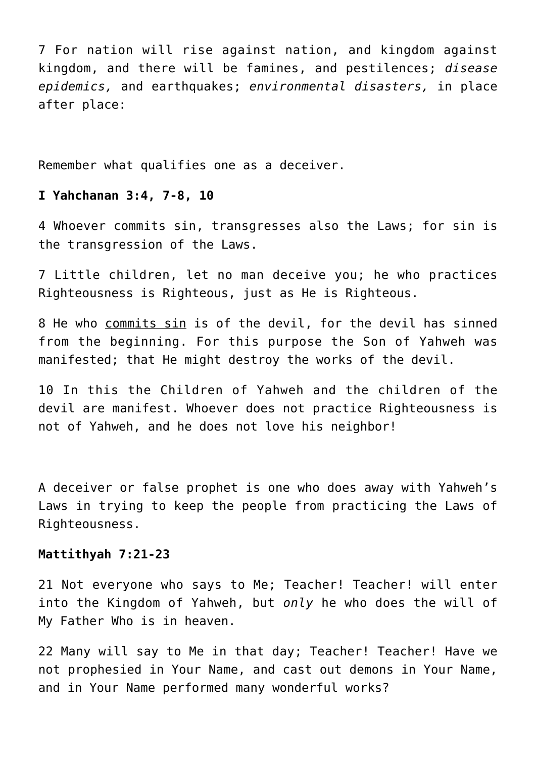7 For nation will rise against nation, and kingdom against kingdom, and there will be famines, and pestilences; *disease epidemics,* and earthquakes; *environmental disasters,* in place after place:

Remember what qualifies one as a deceiver.

# **I Yahchanan 3:4, 7-8, 10**

4 Whoever commits sin, transgresses also the Laws; for sin is the transgression of the Laws.

7 Little children, let no man deceive you; he who practices Righteousness is Righteous, just as He is Righteous.

8 He who commits sin is of the devil, for the devil has sinned from the beginning. For this purpose the Son of Yahweh was manifested; that He might destroy the works of the devil.

10 In this the Children of Yahweh and the children of the devil are manifest. Whoever does not practice Righteousness is not of Yahweh, and he does not love his neighbor!

A deceiver or false prophet is one who does away with Yahweh's Laws in trying to keep the people from practicing the Laws of Righteousness.

## **Mattithyah 7:21-23**

21 Not everyone who says to Me; Teacher! Teacher! will enter into the Kingdom of Yahweh, but *only* he who does the will of My Father Who is in heaven.

22 Many will say to Me in that day; Teacher! Teacher! Have we not prophesied in Your Name, and cast out demons in Your Name, and in Your Name performed many wonderful works?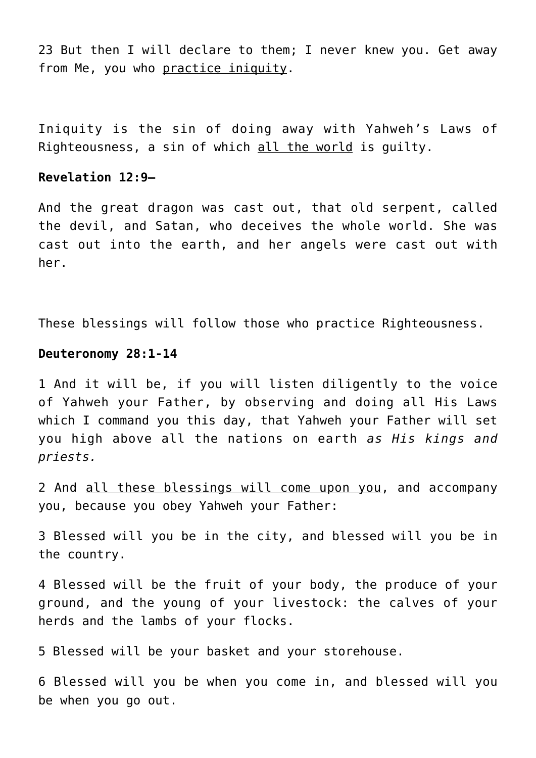23 But then I will declare to them; I never knew you. Get away from Me, you who practice iniquity.

Iniquity is the sin of doing away with Yahweh's Laws of Righteousness, a sin of which all the world is guilty.

## **Revelation 12:9—**

And the great dragon was cast out, that old serpent, called the devil, and Satan, who deceives the whole world. She was cast out into the earth, and her angels were cast out with her.

These blessings will follow those who practice Righteousness.

# **Deuteronomy 28:1-14**

1 And it will be, if you will listen diligently to the voice of Yahweh your Father, by observing and doing all His Laws which I command you this day, that Yahweh your Father will set you high above all the nations on earth *as His kings and priests.*

2 And all these blessings will come upon you, and accompany you, because you obey Yahweh your Father:

3 Blessed will you be in the city, and blessed will you be in the country.

4 Blessed will be the fruit of your body, the produce of your ground, and the young of your livestock: the calves of your herds and the lambs of your flocks.

5 Blessed will be your basket and your storehouse.

6 Blessed will you be when you come in, and blessed will you be when you go out.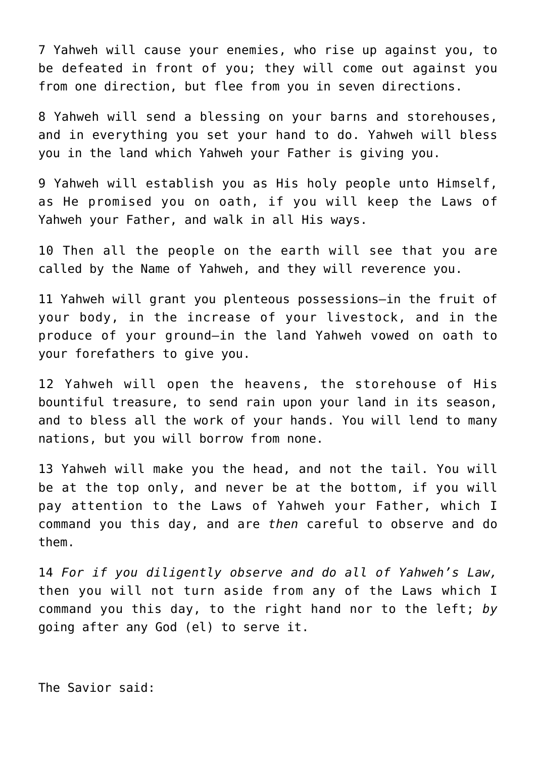7 Yahweh will cause your enemies, who rise up against you, to be defeated in front of you; they will come out against you from one direction, but flee from you in seven directions.

8 Yahweh will send a blessing on your barns and storehouses, and in everything you set your hand to do. Yahweh will bless you in the land which Yahweh your Father is giving you.

9 Yahweh will establish you as His holy people unto Himself, as He promised you on oath, if you will keep the Laws of Yahweh your Father, and walk in all His ways.

10 Then all the people on the earth will see that you are called by the Name of Yahweh, and they will reverence you.

11 Yahweh will grant you plenteous possessions—in the fruit of your body, in the increase of your livestock, and in the produce of your ground—in the land Yahweh vowed on oath to your forefathers to give you.

12 Yahweh will open the heavens, the storehouse of His bountiful treasure, to send rain upon your land in its season, and to bless all the work of your hands. You will lend to many nations, but you will borrow from none.

13 Yahweh will make you the head, and not the tail. You will be at the top only, and never be at the bottom, if you will pay attention to the Laws of Yahweh your Father, which I command you this day, and are *then* careful to observe and do them.

14 *For if you diligently observe and do all of Yahweh's Law,* then you will not turn aside from any of the Laws which I command you this day, to the right hand nor to the left; *by* going after any God (el) to serve it.

The Savior said: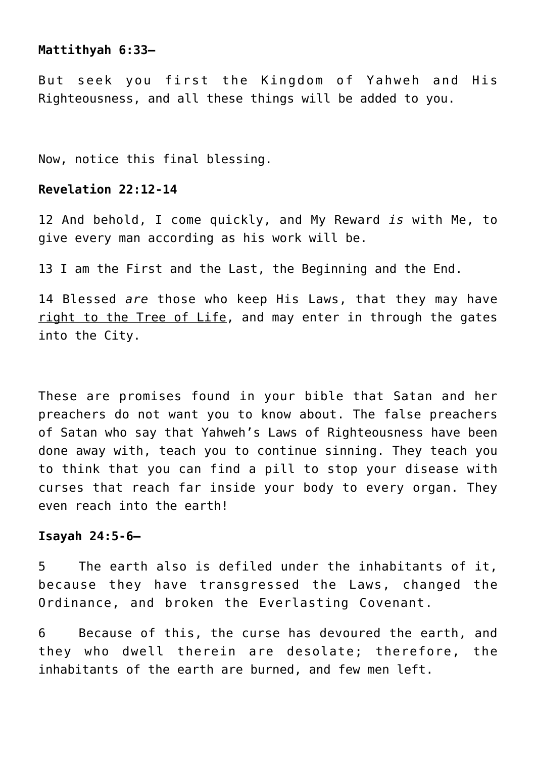# **Mattithyah 6:33—**

But seek you first the Kingdom of Yahweh and His Righteousness, and all these things will be added to you.

Now, notice this final blessing.

# **Revelation 22:12-14**

12 And behold, I come quickly, and My Reward *is* with Me, to give every man according as his work will be.

13 I am the First and the Last, the Beginning and the End.

14 Blessed *are* those who keep His Laws, that they may have right to the Tree of Life, and may enter in through the gates into the City.

These are promises found in your bible that Satan and her preachers do not want you to know about. The false preachers of Satan who say that Yahweh's Laws of Righteousness have been done away with, teach you to continue sinning. They teach you to think that you can find a pill to stop your disease with curses that reach far inside your body to every organ. They even reach into the earth!

#### **Isayah 24:5-6—**

5 The earth also is defiled under the inhabitants of it, because they have transgressed the Laws, changed the Ordinance, and broken the Everlasting Covenant.

6 Because of this, the curse has devoured the earth, and they who dwell therein are desolate; therefore, the inhabitants of the earth are burned, and few men left.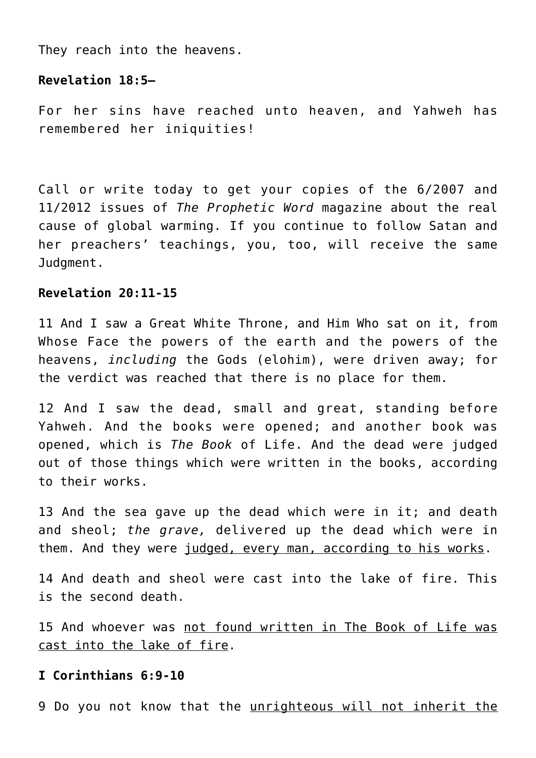They reach into the heavens.

## **Revelation 18:5—**

For her sins have reached unto heaven, and Yahweh has remembered her iniquities!

Call or write today to get your copies of the 6/2007 and 11/2012 issues of *The Prophetic Word* magazine about the real cause of global warming. If you continue to follow Satan and her preachers' teachings, you, too, will receive the same Judgment.

# **Revelation 20:11-15**

11 And I saw a Great White Throne, and Him Who sat on it, from Whose Face the powers of the earth and the powers of the heavens, *including* the Gods (elohim), were driven away; for the verdict was reached that there is no place for them.

12 And I saw the dead, small and great, standing before Yahweh. And the books were opened; and another book was opened, which is *The Book* of Life. And the dead were judged out of those things which were written in the books, according to their works.

13 And the sea gave up the dead which were in it; and death and sheol; *the grave,* delivered up the dead which were in them. And they were judged, every man, according to his works.

14 And death and sheol were cast into the lake of fire. This is the second death.

15 And whoever was not found written in The Book of Life was cast into the lake of fire.

## **I Corinthians 6:9-10**

9 Do you not know that the unrighteous will not inherit the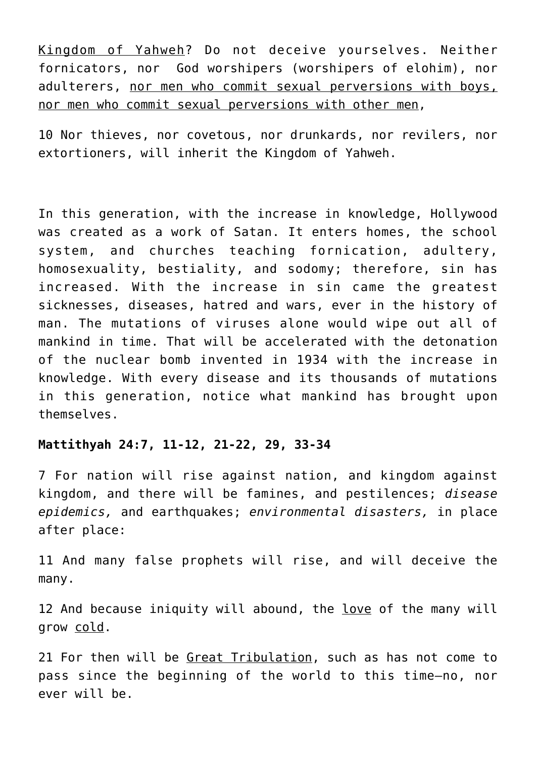Kingdom of Yahweh? Do not deceive yourselves. Neither fornicators, nor God worshipers (worshipers of elohim), nor adulterers, nor men who commit sexual perversions with boys, nor men who commit sexual perversions with other men,

10 Nor thieves, nor covetous, nor drunkards, nor revilers, nor extortioners, will inherit the Kingdom of Yahweh.

In this generation, with the increase in knowledge, Hollywood was created as a work of Satan. It enters homes, the school system, and churches teaching fornication, adultery, homosexuality, bestiality, and sodomy; therefore, sin has increased. With the increase in sin came the greatest sicknesses, diseases, hatred and wars, ever in the history of man. The mutations of viruses alone would wipe out all of mankind in time. That will be accelerated with the detonation of the nuclear bomb invented in 1934 with the increase in knowledge. With every disease and its thousands of mutations in this generation, notice what mankind has brought upon themselves.

# **Mattithyah 24:7, 11-12, 21-22, 29, 33-34**

7 For nation will rise against nation, and kingdom against kingdom, and there will be famines, and pestilences; *disease epidemics,* and earthquakes; *environmental disasters,* in place after place:

11 And many false prophets will rise, and will deceive the many.

12 And because iniquity will abound, the love of the many will grow cold.

21 For then will be Great Tribulation, such as has not come to pass since the beginning of the world to this time—no, nor ever will be.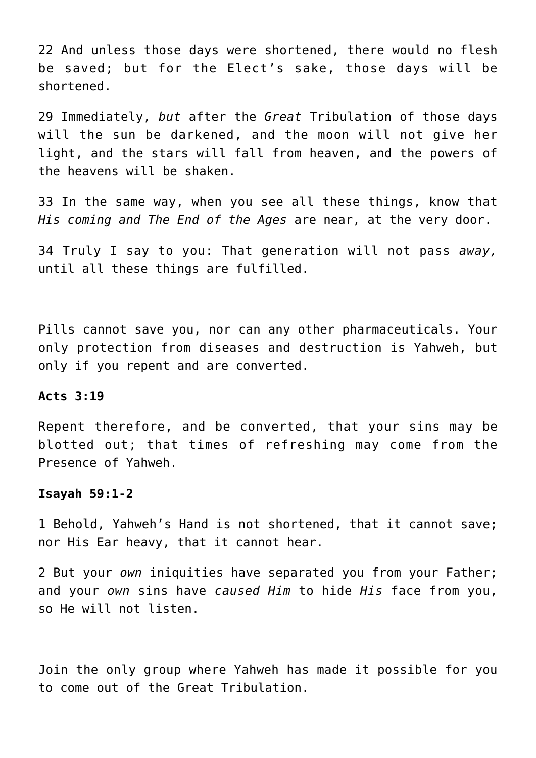22 And unless those days were shortened, there would no flesh be saved; but for the Elect's sake, those days will be shortened.

29 Immediately, *but* after the *Great* Tribulation of those days will the sun be darkened, and the moon will not give her light, and the stars will fall from heaven, and the powers of the heavens will be shaken.

33 In the same way, when you see all these things, know that *His coming and The End of the Ages* are near, at the very door.

34 Truly I say to you: That generation will not pass *away,* until all these things are fulfilled.

Pills cannot save you, nor can any other pharmaceuticals. Your only protection from diseases and destruction is Yahweh, but only if you repent and are converted.

#### **Acts 3:19**

Repent therefore, and be converted, that your sins may be blotted out; that times of refreshing may come from the Presence of Yahweh.

#### **Isayah 59:1-2**

1 Behold, Yahweh's Hand is not shortened, that it cannot save; nor His Ear heavy, that it cannot hear.

2 But your *own* iniquities have separated you from your Father; and your *own* sins have *caused Him* to hide *His* face from you, so He will not listen.

Join the only group where Yahweh has made it possible for you to come out of the Great Tribulation.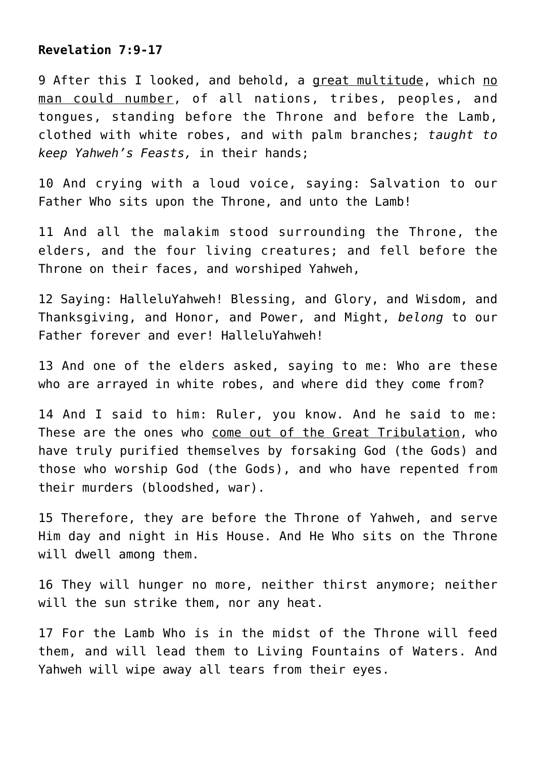## **Revelation 7:9-17**

9 After this I looked, and behold, a great multitude, which no man could number, of all nations, tribes, peoples, and tongues, standing before the Throne and before the Lamb, clothed with white robes, and with palm branches; *taught to keep Yahweh's Feasts,* in their hands;

10 And crying with a loud voice, saying: Salvation to our Father Who sits upon the Throne, and unto the Lamb!

11 And all the malakim stood surrounding the Throne, the elders, and the four living creatures; and fell before the Throne on their faces, and worshiped Yahweh,

12 Saying: HalleluYahweh! Blessing, and Glory, and Wisdom, and Thanksgiving, and Honor, and Power, and Might, *belong* to our Father forever and ever! HalleluYahweh!

13 And one of the elders asked, saying to me: Who are these who are arrayed in white robes, and where did they come from?

14 And I said to him: Ruler, you know. And he said to me: These are the ones who come out of the Great Tribulation, who have truly purified themselves by forsaking God (the Gods) and those who worship God (the Gods), and who have repented from their murders (bloodshed, war).

15 Therefore, they are before the Throne of Yahweh, and serve Him day and night in His House. And He Who sits on the Throne will dwell among them.

16 They will hunger no more, neither thirst anymore; neither will the sun strike them, nor any heat.

17 For the Lamb Who is in the midst of the Throne will feed them, and will lead them to Living Fountains of Waters. And Yahweh will wipe away all tears from their eyes.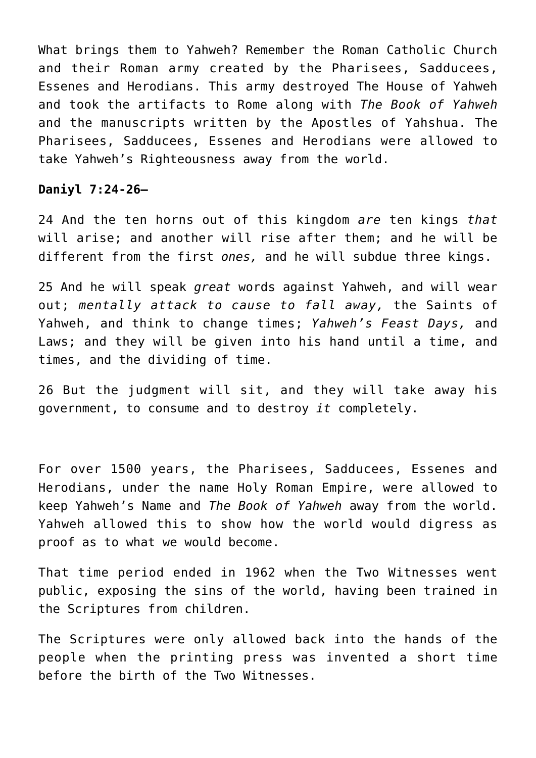What brings them to Yahweh? Remember the Roman Catholic Church and their Roman army created by the Pharisees, Sadducees, Essenes and Herodians. This army destroyed The House of Yahweh and took the artifacts to Rome along with *The Book of Yahweh* and the manuscripts written by the Apostles of Yahshua. The Pharisees, Sadducees, Essenes and Herodians were allowed to take Yahweh's Righteousness away from the world.

# **Daniyl 7:24-26—**

24 And the ten horns out of this kingdom *are* ten kings *that* will arise; and another will rise after them; and he will be different from the first *ones,* and he will subdue three kings.

25 And he will speak *great* words against Yahweh, and will wear out; *mentally attack to cause to fall away,* the Saints of Yahweh, and think to change times; *Yahweh's Feast Days,* and Laws; and they will be given into his hand until a time, and times, and the dividing of time.

26 But the judgment will sit, and they will take away his government, to consume and to destroy *it* completely.

For over 1500 years, the Pharisees, Sadducees, Essenes and Herodians, under the name Holy Roman Empire, were allowed to keep Yahweh's Name and *The Book of Yahweh* away from the world. Yahweh allowed this to show how the world would digress as proof as to what we would become.

That time period ended in 1962 when the Two Witnesses went public, exposing the sins of the world, having been trained in the Scriptures from children.

The Scriptures were only allowed back into the hands of the people when the printing press was invented a short time before the birth of the Two Witnesses.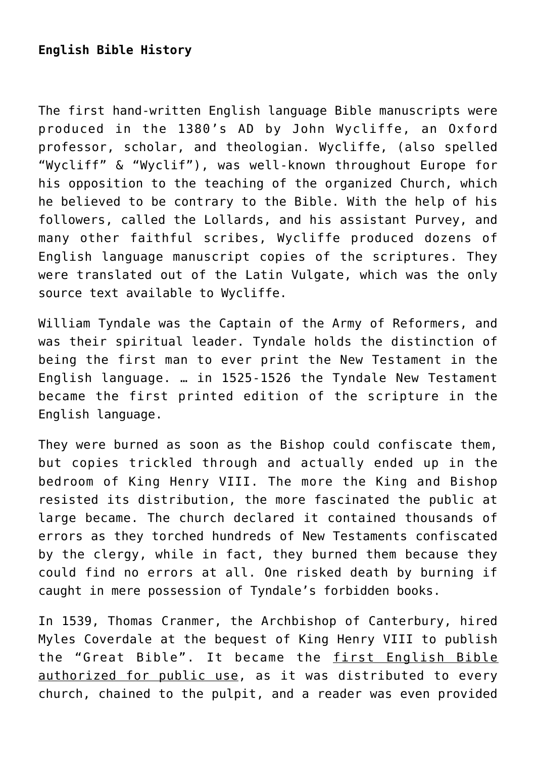# **English Bible History**

The first hand-written English language Bible manuscripts were produced in the 1380's AD by John Wycliffe, an Oxford professor, scholar, and theologian. Wycliffe, (also spelled "Wycliff" & "Wyclif"), was well-known throughout Europe for his opposition to the teaching of the organized Church, which he believed to be contrary to the Bible. With the help of his followers, called the Lollards, and his assistant Purvey, and many other faithful scribes, Wycliffe produced dozens of English language manuscript copies of the scriptures. They were translated out of the Latin Vulgate, which was the only source text available to Wycliffe.

William Tyndale was the Captain of the Army of Reformers, and was their spiritual leader. Tyndale holds the distinction of being the first man to ever print the New Testament in the English language. … in 1525-1526 the Tyndale New Testament became the first printed edition of the scripture in the English language.

They were burned as soon as the Bishop could confiscate them, but copies trickled through and actually ended up in the bedroom of King Henry VIII. The more the King and Bishop resisted its distribution, the more fascinated the public at large became. The church declared it contained thousands of errors as they torched hundreds of New Testaments confiscated by the clergy, while in fact, they burned them because they could find no errors at all. One risked death by burning if caught in mere possession of Tyndale's forbidden books.

In 1539, Thomas Cranmer, the Archbishop of Canterbury, hired Myles Coverdale at the bequest of King Henry VIII to publish the "Great Bible". It became the first English Bible authorized for public use, as it was distributed to every church, chained to the pulpit, and a reader was even provided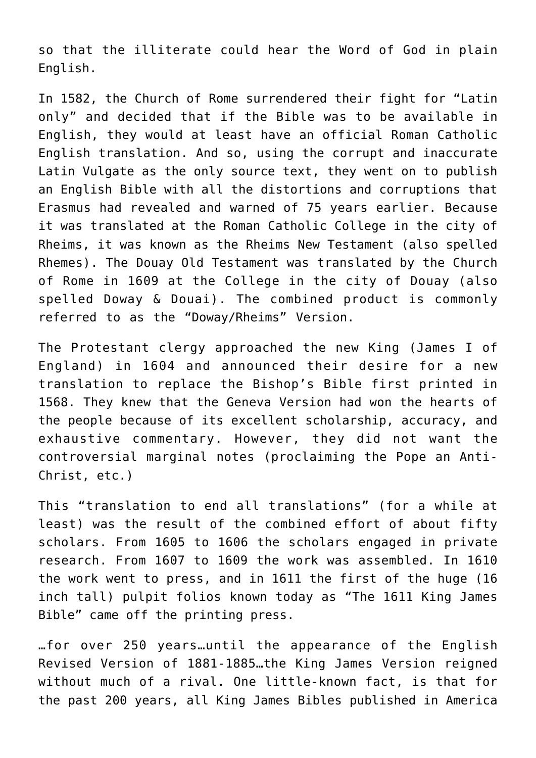so that the illiterate could hear the Word of God in plain English.

In 1582, the Church of Rome surrendered their fight for "Latin only" and decided that if the Bible was to be available in English, they would at least have an official Roman Catholic English translation. And so, using the corrupt and inaccurate Latin Vulgate as the only source text, they went on to publish an English Bible with all the distortions and corruptions that Erasmus had revealed and warned of 75 years earlier. Because it was translated at the Roman Catholic College in the city of Rheims, it was known as the Rheims New Testament (also spelled Rhemes). The Douay Old Testament was translated by the Church of Rome in 1609 at the College in the city of Douay (also spelled Doway & Douai). The combined product is commonly referred to as the "Doway/Rheims" Version.

The Protestant clergy approached the new King (James I of England) in 1604 and announced their desire for a new translation to replace the Bishop's Bible first printed in 1568. They knew that the Geneva Version had won the hearts of the people because of its excellent scholarship, accuracy, and exhaustive commentary. However, they did not want the controversial marginal notes (proclaiming the Pope an Anti-Christ, etc.)

This "translation to end all translations" (for a while at least) was the result of the combined effort of about fifty scholars. From 1605 to 1606 the scholars engaged in private research. From 1607 to 1609 the work was assembled. In 1610 the work went to press, and in 1611 the first of the huge (16 inch tall) pulpit folios known today as "The 1611 King James Bible" came off the printing press.

…for over 250 years…until the appearance of the English Revised Version of 1881-1885…the King James Version reigned without much of a rival. One little-known fact, is that for the past 200 years, all King James Bibles published in America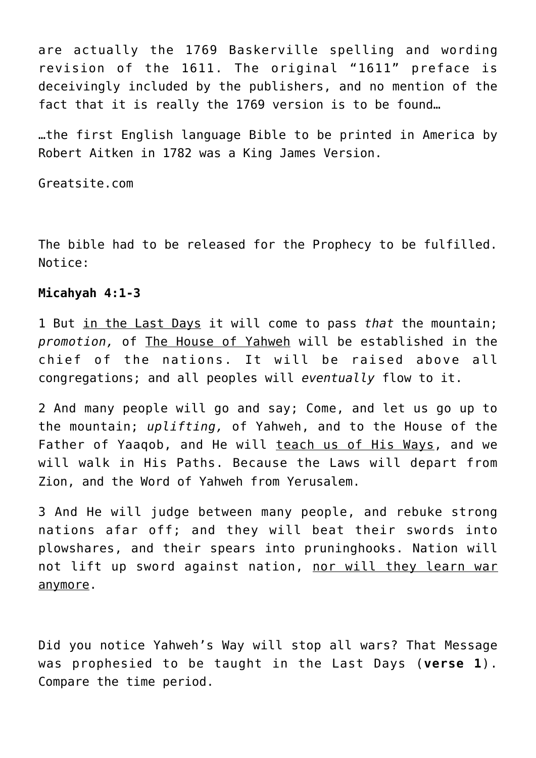are actually the 1769 Baskerville spelling and wording revision of the 1611. The original "1611" preface is deceivingly included by the publishers, and no mention of the fact that it is really the 1769 version is to be found…

…the first English language Bible to be printed in America by Robert Aitken in 1782 was a King James Version.

Greatsite.com

The bible had to be released for the Prophecy to be fulfilled. Notice:

## **Micahyah 4:1-3**

1 But in the Last Days it will come to pass *that* the mountain; *promotion,* of The House of Yahweh will be established in the chief of the nations. It will be raised above all congregations; and all peoples will *eventually* flow to it.

2 And many people will go and say; Come, and let us go up to the mountain; *uplifting,* of Yahweh, and to the House of the Father of Yaaqob, and He will teach us of His Ways, and we will walk in His Paths. Because the Laws will depart from Zion, and the Word of Yahweh from Yerusalem.

3 And He will judge between many people, and rebuke strong nations afar off; and they will beat their swords into plowshares, and their spears into pruninghooks. Nation will not lift up sword against nation, nor will they learn war anymore.

Did you notice Yahweh's Way will stop all wars? That Message was prophesied to be taught in the Last Days (**verse 1**). Compare the time period.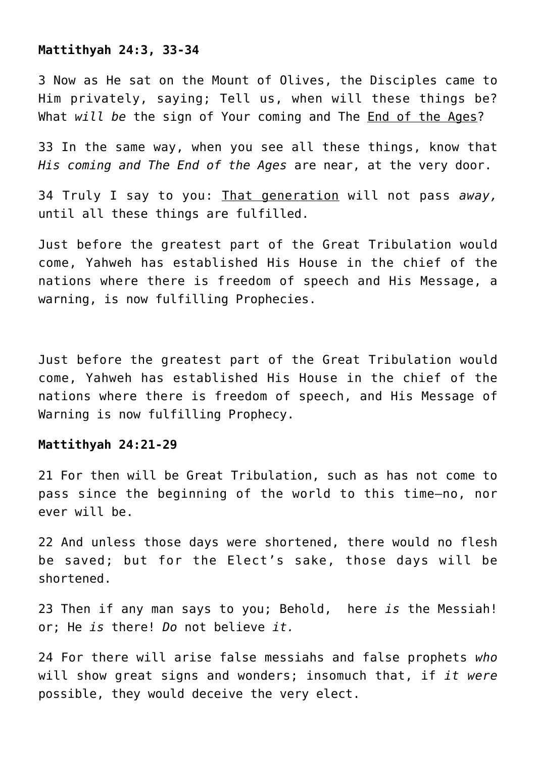#### **Mattithyah 24:3, 33-34**

3 Now as He sat on the Mount of Olives, the Disciples came to Him privately, saying; Tell us, when will these things be? What *will be* the sign of Your coming and The End of the Ages?

33 In the same way, when you see all these things, know that *His coming and The End of the Ages* are near, at the very door.

34 Truly I say to you: That generation will not pass *away,* until all these things are fulfilled.

Just before the greatest part of the Great Tribulation would come, Yahweh has established His House in the chief of the nations where there is freedom of speech and His Message, a warning, is now fulfilling Prophecies.

Just before the greatest part of the Great Tribulation would come, Yahweh has established His House in the chief of the nations where there is freedom of speech, and His Message of Warning is now fulfilling Prophecy.

# **Mattithyah 24:21-29**

21 For then will be Great Tribulation, such as has not come to pass since the beginning of the world to this time—no, nor ever will be.

22 And unless those days were shortened, there would no flesh be saved; but for the Elect's sake, those days will be shortened.

23 Then if any man says to you; Behold, here *is* the Messiah! or; He *is* there! *Do* not believe *it.*

24 For there will arise false messiahs and false prophets *who* will show great signs and wonders; insomuch that, if *it were* possible, they would deceive the very elect.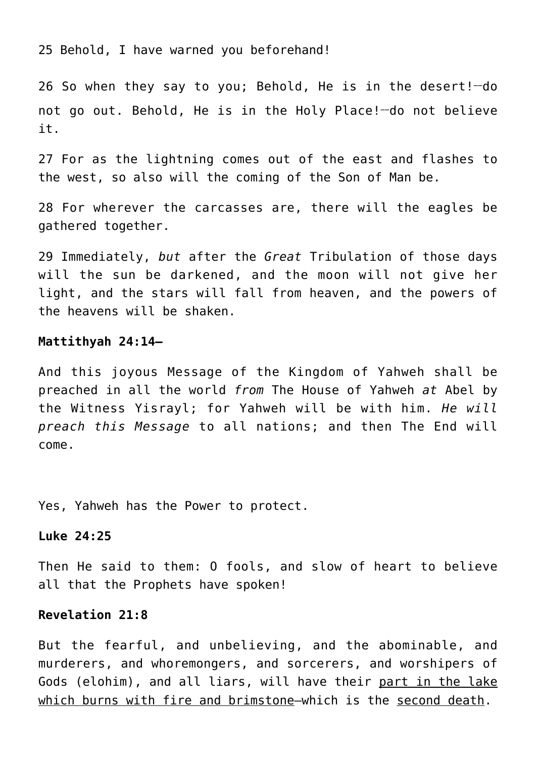25 Behold, I have warned you beforehand!

26 So when they say to you; Behold, He is in the desert!**\_\_**do not go out. Behold, He is in the Holy Place!-do not believe it.

27 For as the lightning comes out of the east and flashes to the west, so also will the coming of the Son of Man be.

28 For wherever the carcasses are, there will the eagles be gathered together.

29 Immediately, *but* after the *Great* Tribulation of those days will the sun be darkened, and the moon will not give her light, and the stars will fall from heaven, and the powers of the heavens will be shaken.

#### **Mattithyah 24:14—**

And this joyous Message of the Kingdom of Yahweh shall be preached in all the world *from* The House of Yahweh *at* Abel by the Witness Yisrayl; for Yahweh will be with him. *He will preach this Message* to all nations; and then The End will come.

Yes, Yahweh has the Power to protect.

# **Luke 24:25**

Then He said to them: O fools, and slow of heart to believe all that the Prophets have spoken!

## **Revelation 21:8**

But the fearful, and unbelieving, and the abominable, and murderers, and whoremongers, and sorcerers, and worshipers of Gods (elohim), and all liars, will have their part in the lake which burns with fire and brimstone—which is the second death.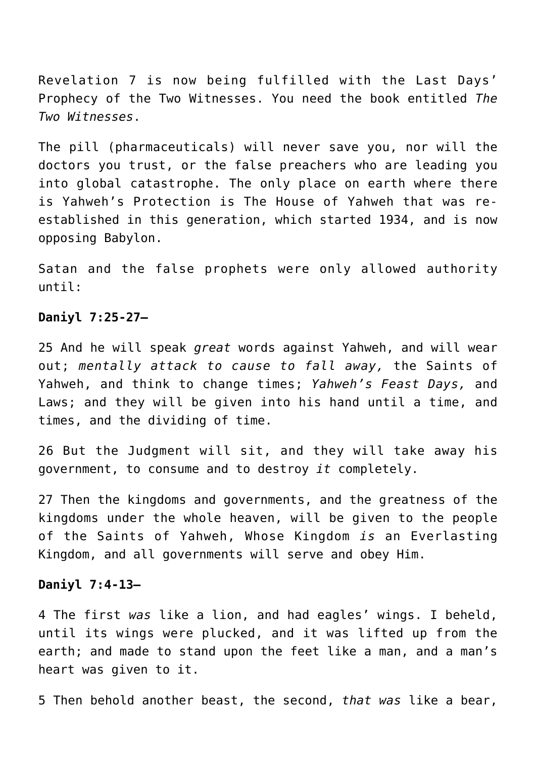Revelation 7 is now being fulfilled with the Last Days' Prophecy of the Two Witnesses. You need the book entitled *The Two Witnesses*.

The pill (pharmaceuticals) will never save you, nor will the doctors you trust, or the false preachers who are leading you into global catastrophe. The only place on earth where there is Yahweh's Protection is The House of Yahweh that was reestablished in this generation, which started 1934, and is now opposing Babylon.

Satan and the false prophets were only allowed authority until:

## **Daniyl 7:25-27—**

25 And he will speak *great* words against Yahweh, and will wear out; *mentally attack to cause to fall away,* the Saints of Yahweh, and think to change times; *Yahweh's Feast Days,* and Laws; and they will be given into his hand until a time, and times, and the dividing of time.

26 But the Judgment will sit, and they will take away his government, to consume and to destroy *it* completely.

27 Then the kingdoms and governments, and the greatness of the kingdoms under the whole heaven, will be given to the people of the Saints of Yahweh, Whose Kingdom *is* an Everlasting Kingdom, and all governments will serve and obey Him.

#### **Daniyl 7:4-13—**

4 The first *was* like a lion, and had eagles' wings. I beheld, until its wings were plucked, and it was lifted up from the earth; and made to stand upon the feet like a man, and a man's heart was given to it.

5 Then behold another beast, the second, *that was* like a bear,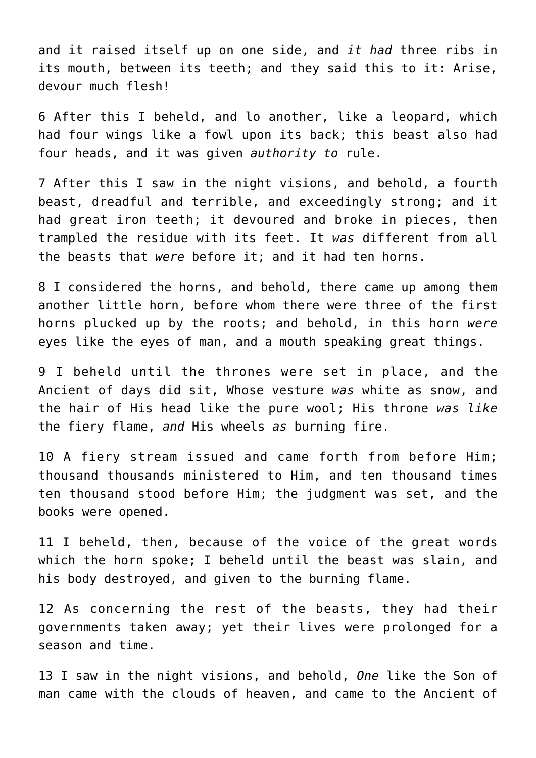and it raised itself up on one side, and *it had* three ribs in its mouth, between its teeth; and they said this to it: Arise, devour much flesh!

6 After this I beheld, and lo another, like a leopard, which had four wings like a fowl upon its back; this beast also had four heads, and it was given *authority to* rule.

7 After this I saw in the night visions, and behold, a fourth beast, dreadful and terrible, and exceedingly strong; and it had great iron teeth; it devoured and broke in pieces, then trampled the residue with its feet. It *was* different from all the beasts that *were* before it; and it had ten horns.

8 I considered the horns, and behold, there came up among them another little horn, before whom there were three of the first horns plucked up by the roots; and behold, in this horn *were* eyes like the eyes of man, and a mouth speaking great things.

9 I beheld until the thrones were set in place, and the Ancient of days did sit, Whose vesture *was* white as snow, and the hair of His head like the pure wool; His throne *was like* the fiery flame, *and* His wheels *as* burning fire.

10 A fiery stream issued and came forth from before Him; thousand thousands ministered to Him, and ten thousand times ten thousand stood before Him; the judgment was set, and the books were opened.

11 I beheld, then, because of the voice of the great words which the horn spoke; I beheld until the beast was slain, and his body destroyed, and given to the burning flame.

12 As concerning the rest of the beasts, they had their governments taken away; yet their lives were prolonged for a season and time.

13 I saw in the night visions, and behold, *One* like the Son of man came with the clouds of heaven, and came to the Ancient of